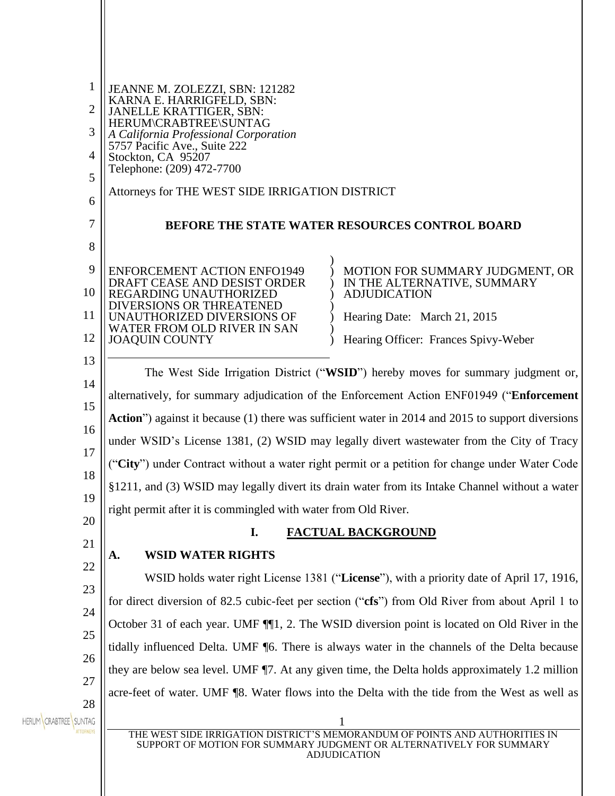| 1<br>2<br>3<br>4<br>5<br>6 | JEANNE M. ZOLEZZI, SBN: 121282<br>KARNA E. HARRIGFELD, SBN:<br><b>JANELLE KRATTIGER, SBN:</b><br>HERUM\CRABTREE\SUNTAG<br>A California Professional Corporation<br>5757 Pacific Ave., Suite 222<br>Stockton, CA 95207<br>Telephone: (209) 472-7700<br>Attorneys for THE WEST SIDE IRRIGATION DISTRICT |                                                                                                                                                                           |
|----------------------------|-------------------------------------------------------------------------------------------------------------------------------------------------------------------------------------------------------------------------------------------------------------------------------------------------------|---------------------------------------------------------------------------------------------------------------------------------------------------------------------------|
| 7                          |                                                                                                                                                                                                                                                                                                       | BEFORE THE STATE WATER RESOURCES CONTROL BOARD                                                                                                                            |
| 8                          |                                                                                                                                                                                                                                                                                                       |                                                                                                                                                                           |
| 9<br>10<br>11<br>12        | <b>ENFORCEMENT ACTION ENFO1949</b><br>DRAFT CEASE AND DESIST ORDER<br>REGARDING UNAUTHORIZED<br>DIVERSIONS OR THREATENED<br>UNAUTHORIZED DIVERSIONS OF<br>WATER FROM OLD RIVER IN SAN<br><b>JOAQUIN COUNTY</b>                                                                                        | MOTION FOR SUMMARY JUDGMENT, OR<br>IN THE ALTERNATIVE, SUMMARY<br><b>ADJUDICATION</b><br>Hearing Date: March 21, 2015<br>Hearing Officer: Frances Spivy-Weber             |
| 13                         | The West Side Irrigation District ("WSID") hereby moves for summary judgment or,                                                                                                                                                                                                                      |                                                                                                                                                                           |
| 14                         | alternatively, for summary adjudication of the Enforcement Action ENF01949 ("Enforcement                                                                                                                                                                                                              |                                                                                                                                                                           |
| 15                         | Action") against it because (1) there was sufficient water in 2014 and 2015 to support diversions                                                                                                                                                                                                     |                                                                                                                                                                           |
| 16                         | under WSID's License 1381, (2) WSID may legally divert wastewater from the City of Tracy                                                                                                                                                                                                              |                                                                                                                                                                           |
| 17                         | ("City") under Contract without a water right permit or a petition for change under Water Code                                                                                                                                                                                                        |                                                                                                                                                                           |
| 18                         | §1211, and (3) WSID may legally divert its drain water from its Intake Channel without a water                                                                                                                                                                                                        |                                                                                                                                                                           |
| 19<br>20                   | right permit after it is commingled with water from Old River.                                                                                                                                                                                                                                        |                                                                                                                                                                           |
| 21                         | <b>FACTUAL BACKGROUND</b><br>I.                                                                                                                                                                                                                                                                       |                                                                                                                                                                           |
| 22                         | <b>WSID WATER RIGHTS</b><br>A.                                                                                                                                                                                                                                                                        |                                                                                                                                                                           |
| 23                         | WSID holds water right License 1381 ("License"), with a priority date of April 17, 1916,                                                                                                                                                                                                              |                                                                                                                                                                           |
| 24                         | for direct diversion of 82.5 cubic-feet per section ("cfs") from Old River from about April 1 to                                                                                                                                                                                                      |                                                                                                                                                                           |
| 25                         | October 31 of each year. UMF ¶[1, 2. The WSID diversion point is located on Old River in the                                                                                                                                                                                                          |                                                                                                                                                                           |
| 26                         | tidally influenced Delta. UMF [6. There is always water in the channels of the Delta because                                                                                                                                                                                                          |                                                                                                                                                                           |
| 27                         |                                                                                                                                                                                                                                                                                                       | they are below sea level. UMF ¶7. At any given time, the Delta holds approximately 1.2 million                                                                            |
| 28                         |                                                                                                                                                                                                                                                                                                       | acre-feet of water. UMF ¶8. Water flows into the Delta with the tide from the West as well as                                                                             |
| HERUM CRABTREE SUNTAG      |                                                                                                                                                                                                                                                                                                       | THE WEST SIDE IRRIGATION DISTRICT'S MEMORANDUM OF POINTS AND AUTHORITIES IN<br>SUPPORT OF MOTION FOR SUMMARY JUDGMENT OR ALTERNATIVELY FOR SUMMARY<br><b>ADJUDICATION</b> |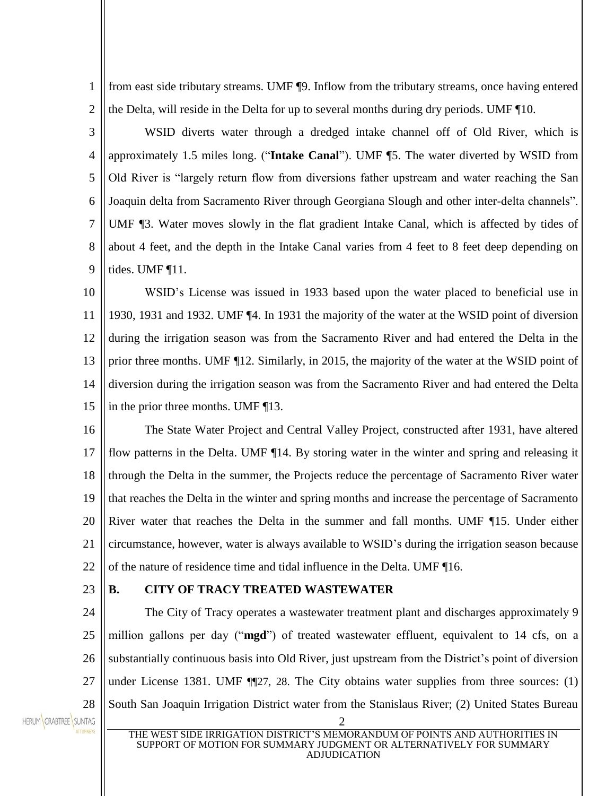1 2 from east side tributary streams. UMF ¶9. Inflow from the tributary streams, once having entered the Delta, will reside in the Delta for up to several months during dry periods. UMF ¶10.

3 4 5 6 7 8 9 WSID diverts water through a dredged intake channel off of Old River, which is approximately 1.5 miles long. ("**Intake Canal**"). UMF ¶5. The water diverted by WSID from Old River is "largely return flow from diversions father upstream and water reaching the San Joaquin delta from Sacramento River through Georgiana Slough and other inter-delta channels". UMF ¶3. Water moves slowly in the flat gradient Intake Canal, which is affected by tides of about 4 feet, and the depth in the Intake Canal varies from 4 feet to 8 feet deep depending on tides. UMF ¶11.

10 11 12 13 14 15 WSID's License was issued in 1933 based upon the water placed to beneficial use in 1930, 1931 and 1932. UMF ¶4. In 1931 the majority of the water at the WSID point of diversion during the irrigation season was from the Sacramento River and had entered the Delta in the prior three months. UMF ¶12. Similarly, in 2015, the majority of the water at the WSID point of diversion during the irrigation season was from the Sacramento River and had entered the Delta in the prior three months. UMF ¶13.

16 17 18 19 20 21  $22$ The State Water Project and Central Valley Project, constructed after 1931, have altered flow patterns in the Delta. UMF ¶14. By storing water in the winter and spring and releasing it through the Delta in the summer, the Projects reduce the percentage of Sacramento River water that reaches the Delta in the winter and spring months and increase the percentage of Sacramento River water that reaches the Delta in the summer and fall months. UMF ¶15. Under either circumstance, however, water is always available to WSID's during the irrigation season because of the nature of residence time and tidal influence in the Delta. UMF ¶16.

23

#### **B. CITY OF TRACY TREATED WASTEWATER**

24 25 26 27 28 The City of Tracy operates a wastewater treatment plant and discharges approximately 9 million gallons per day ("**mgd**") of treated wastewater effluent, equivalent to 14 cfs, on a substantially continuous basis into Old River, just upstream from the District's point of diversion under License 1381. UMF ¶¶27, 28. The City obtains water supplies from three sources: (1) South San Joaquin Irrigation District water from the Stanislaus River; (2) United States Bureau

HERUM CRABTREE SUNTAG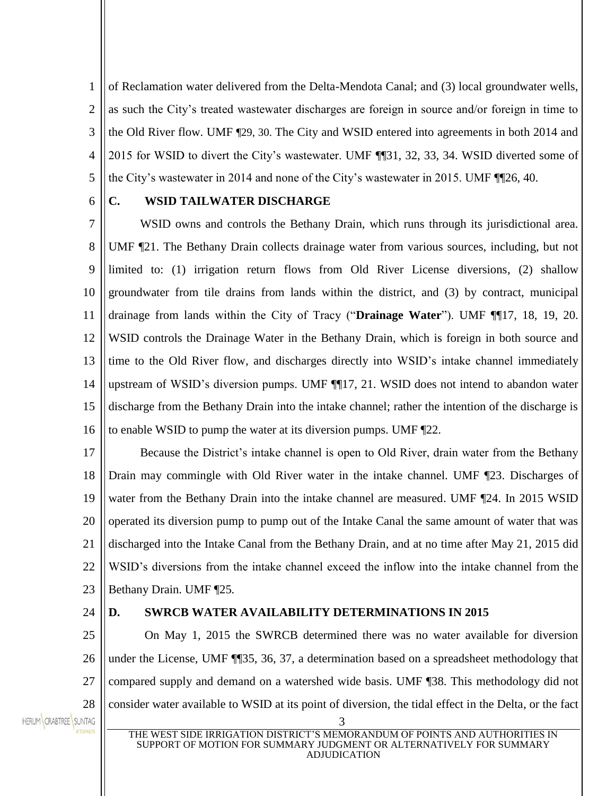1 2 3 4 5 of Reclamation water delivered from the Delta-Mendota Canal; and (3) local groundwater wells, as such the City's treated wastewater discharges are foreign in source and/or foreign in time to the Old River flow. UMF ¶29, 30. The City and WSID entered into agreements in both 2014 and 2015 for WSID to divert the City's wastewater. UMF ¶¶31, 32, 33, 34. WSID diverted some of the City's wastewater in 2014 and none of the City's wastewater in 2015. UMF ¶¶26, 40.

6

# **C. WSID TAILWATER DISCHARGE**

7 8 9 10 11 12 13 14 15 16 WSID owns and controls the Bethany Drain, which runs through its jurisdictional area. UMF ¶21. The Bethany Drain collects drainage water from various sources, including, but not limited to: (1) irrigation return flows from Old River License diversions, (2) shallow groundwater from tile drains from lands within the district, and (3) by contract, municipal drainage from lands within the City of Tracy ("**Drainage Water**"). UMF ¶¶17, 18, 19, 20. WSID controls the Drainage Water in the Bethany Drain, which is foreign in both source and time to the Old River flow, and discharges directly into WSID's intake channel immediately upstream of WSID's diversion pumps. UMF ¶¶17, 21. WSID does not intend to abandon water discharge from the Bethany Drain into the intake channel; rather the intention of the discharge is to enable WSID to pump the water at its diversion pumps. UMF ¶22.

17 18 19 20 21  $22$ 23 Because the District's intake channel is open to Old River, drain water from the Bethany Drain may commingle with Old River water in the intake channel. UMF ¶23. Discharges of water from the Bethany Drain into the intake channel are measured. UMF  $\P$ 24. In 2015 WSID operated its diversion pump to pump out of the Intake Canal the same amount of water that was discharged into the Intake Canal from the Bethany Drain, and at no time after May 21, 2015 did WSID's diversions from the intake channel exceed the inflow into the intake channel from the Bethany Drain. UMF ¶25*.*

24

#### **D. SWRCB WATER AVAILABILITY DETERMINATIONS IN 2015**

25 26 27 28 On May 1, 2015 the SWRCB determined there was no water available for diversion under the License, UMF ¶¶35, 36, 37, a determination based on a spreadsheet methodology that compared supply and demand on a watershed wide basis. UMF ¶38. This methodology did not consider water available to WSID at its point of diversion, the tidal effect in the Delta, or the fact

HERUM CRABTREE SUNTAG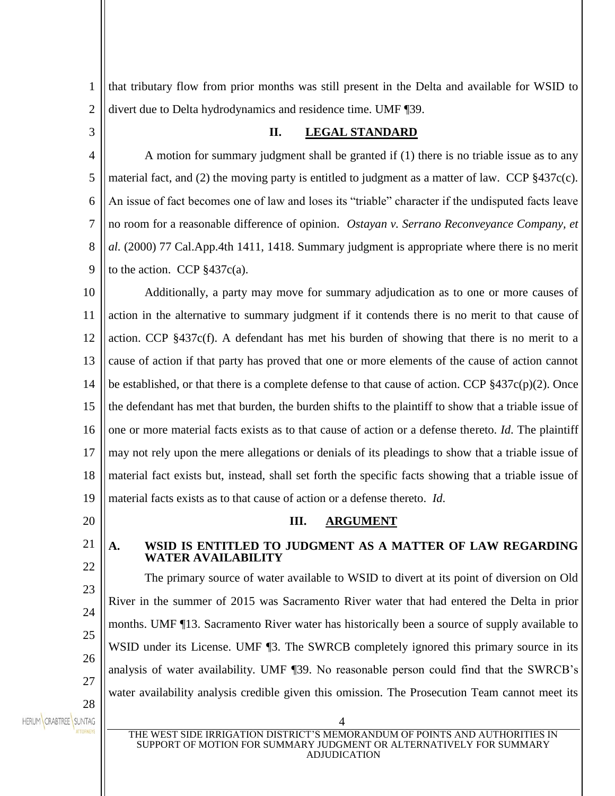1 2 that tributary flow from prior months was still present in the Delta and available for WSID to divert due to Delta hydrodynamics and residence time. UMF ¶39.

3

## **II. LEGAL STANDARD**

4 5 6 7 8 9 A motion for summary judgment shall be granted if (1) there is no triable issue as to any material fact, and (2) the moving party is entitled to judgment as a matter of law. CCP §437c(c). An issue of fact becomes one of law and loses its "triable" character if the undisputed facts leave no room for a reasonable difference of opinion. *Ostayan v. Serrano Reconveyance Company, et al.* (2000) 77 Cal.App.4th 1411, 1418. Summary judgment is appropriate where there is no merit to the action. CCP  $§437c(a)$ .

10 11 12 13 14 15 16 17 18 19 Additionally, a party may move for summary adjudication as to one or more causes of action in the alternative to summary judgment if it contends there is no merit to that cause of action. CCP §437c(f). A defendant has met his burden of showing that there is no merit to a cause of action if that party has proved that one or more elements of the cause of action cannot be established, or that there is a complete defense to that cause of action. CCP  $\S 437c(p)(2)$ . Once the defendant has met that burden, the burden shifts to the plaintiff to show that a triable issue of one or more material facts exists as to that cause of action or a defense thereto. *Id*. The plaintiff may not rely upon the mere allegations or denials of its pleadings to show that a triable issue of material fact exists but, instead, shall set forth the specific facts showing that a triable issue of material facts exists as to that cause of action or a defense thereto. *Id*.

20

21 22

23

24

25

26

27

28

# **III. ARGUMENT**

#### **A. WSID IS ENTITLED TO JUDGMENT AS A MATTER OF LAW REGARDING WATER AVAILABILITY**

The primary source of water available to WSID to divert at its point of diversion on Old River in the summer of 2015 was Sacramento River water that had entered the Delta in prior months. UMF ¶13. Sacramento River water has historically been a source of supply available to WSID under its License. UMF 13. The SWRCB completely ignored this primary source in its analysis of water availability. UMF ¶39. No reasonable person could find that the SWRCB's water availability analysis credible given this omission. The Prosecution Team cannot meet its

HERUM CRABTREE SUNTAG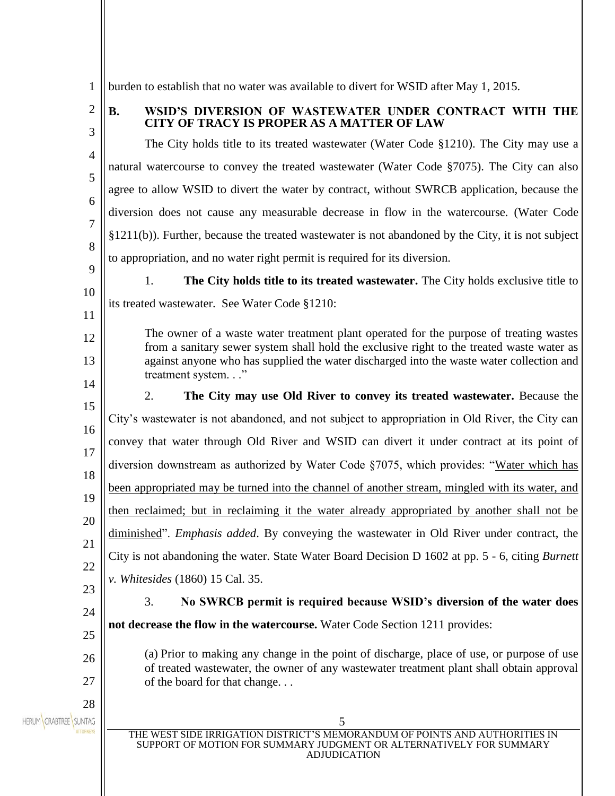1 burden to establish that no water was available to divert for WSID after May 1, 2015.

2

3

#### **B. WSID'S DIVERSION OF WASTEWATER UNDER CONTRACT WITH THE CITY OF TRACY IS PROPER AS A MATTER OF LAW**

4 5 6 7 8 The City holds title to its treated wastewater (Water Code §1210). The City may use a natural watercourse to convey the treated wastewater (Water Code §7075). The City can also agree to allow WSID to divert the water by contract, without SWRCB application, because the diversion does not cause any measurable decrease in flow in the watercourse. (Water Code §1211(b)). Further, because the treated wastewater is not abandoned by the City, it is not subject to appropriation, and no water right permit is required for its diversion.

 $\mathbf Q$ 10

11

12

13

14

24

26

27

1. **The City holds title to its treated wastewater.** The City holds exclusive title to its treated wastewater. See Water Code §1210:

The owner of a waste water treatment plant operated for the purpose of treating wastes from a sanitary sewer system shall hold the exclusive right to the treated waste water as against anyone who has supplied the water discharged into the waste water collection and treatment system. . ."

15 16 17 18 19 20 21 22 23 2. **The City may use Old River to convey its treated wastewater.** Because the City's wastewater is not abandoned, and not subject to appropriation in Old River, the City can convey that water through Old River and WSID can divert it under contract at its point of diversion downstream as authorized by Water Code §7075, which provides: "Water which has been appropriated may be turned into the channel of another stream, mingled with its water, and then reclaimed; but in reclaiming it the water already appropriated by another shall not be diminished". *Emphasis added*. By conveying the wastewater in Old River under contract, the City is not abandoning the water. State Water Board Decision D 1602 at pp. 5 - 6, citing *Burnett v. Whitesides* (1860) 15 Cal. 35.

3. **No SWRCB permit is required because WSID's diversion of the water does** 

25 **not decrease the flow in the watercourse.** Water Code Section 1211 provides:

> (a) Prior to making any change in the point of discharge, place of use, or purpose of use of treated wastewater, the owner of any wastewater treatment plant shall obtain approval of the board for that change. . .

28 HERUM CRABTREE SUNTAG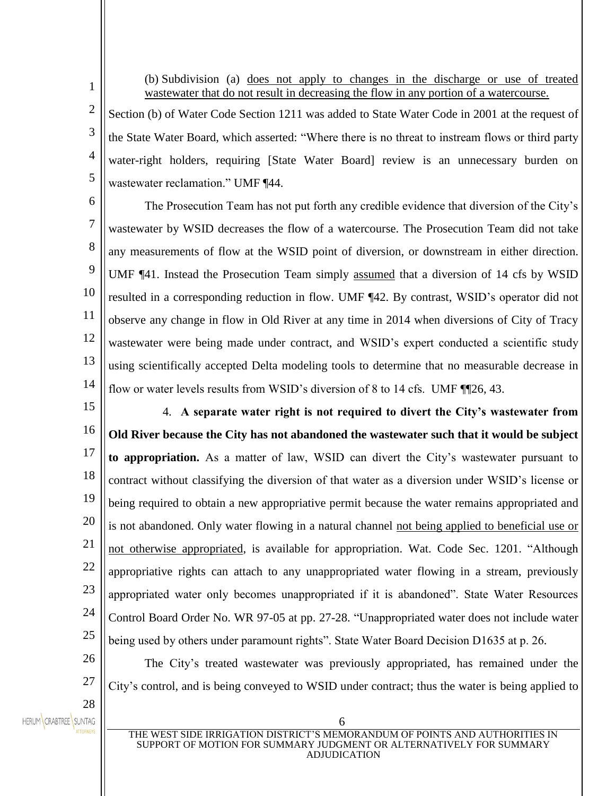(b) Subdivision (a) does not apply to changes in the discharge or use of treated wastewater that do not result in decreasing the flow in any portion of a watercourse.

Section (b) of Water Code Section 1211 was added to State Water Code in 2001 at the request of the State Water Board, which asserted: "Where there is no threat to instream flows or third party water-right holders, requiring [State Water Board] review is an unnecessary burden on wastewater reclamation." UMF ¶44.

6 7 8 9 10 11 12 13 The Prosecution Team has not put forth any credible evidence that diversion of the City's wastewater by WSID decreases the flow of a watercourse. The Prosecution Team did not take any measurements of flow at the WSID point of diversion, or downstream in either direction. UMF ¶41. Instead the Prosecution Team simply assumed that a diversion of 14 cfs by WSID resulted in a corresponding reduction in flow. UMF ¶42. By contrast, WSID's operator did not observe any change in flow in Old River at any time in 2014 when diversions of City of Tracy wastewater were being made under contract, and WSID's expert conducted a scientific study using scientifically accepted Delta modeling tools to determine that no measurable decrease in flow or water levels results from WSID's diversion of 8 to 14 cfs. UMF ¶¶26, 43.

14 15

1

2

3

4

5

16 17 18 19 20 21 22 23 24 25 4. **A separate water right is not required to divert the City's wastewater from Old River because the City has not abandoned the wastewater such that it would be subject to appropriation.** As a matter of law, WSID can divert the City's wastewater pursuant to contract without classifying the diversion of that water as a diversion under WSID's license or being required to obtain a new appropriative permit because the water remains appropriated and is not abandoned. Only water flowing in a natural channel not being applied to beneficial use or not otherwise appropriated, is available for appropriation. Wat. Code Sec. 1201. "Although appropriative rights can attach to any unappropriated water flowing in a stream, previously appropriated water only becomes unappropriated if it is abandoned". State Water Resources Control Board Order No. WR 97-05 at pp. 27-28. "Unappropriated water does not include water being used by others under paramount rights". State Water Board Decision D1635 at p. 26*.*

27 28

HERUM CRABTREE SUNTAG

26

The City's treated wastewater was previously appropriated, has remained under the City's control, and is being conveyed to WSID under contract; thus the water is being applied to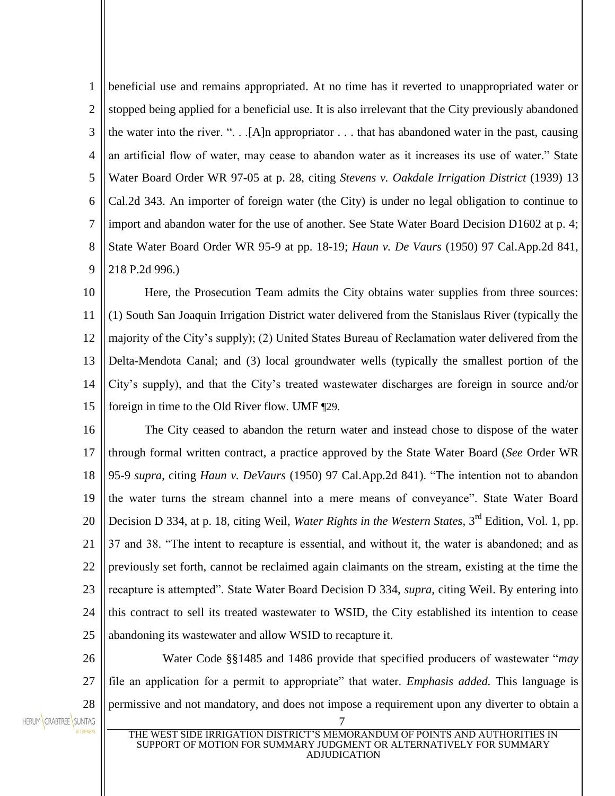1 2 3 4 5 6 7 8 9 beneficial use and remains appropriated. At no time has it reverted to unappropriated water or stopped being applied for a beneficial use. It is also irrelevant that the City previously abandoned the water into the river. ". . .[A]n appropriator . . . that has abandoned water in the past, causing an artificial flow of water, may cease to abandon water as it increases its use of water." State Water Board Order WR 97-05 at p. 28, citing *Stevens v. Oakdale Irrigation District* (1939) 13 Cal.2d 343. An importer of foreign water (the City) is under no legal obligation to continue to import and abandon water for the use of another. See State Water Board Decision D1602 at p. 4; State Water Board Order WR 95-9 at pp. 18-19; *Haun v. De Vaurs* (1950) 97 Cal.App.2d 841, 218 P.2d 996.)

10 11 12 13 14 15 Here, the Prosecution Team admits the City obtains water supplies from three sources: (1) South San Joaquin Irrigation District water delivered from the Stanislaus River (typically the majority of the City's supply); (2) United States Bureau of Reclamation water delivered from the Delta-Mendota Canal; and (3) local groundwater wells (typically the smallest portion of the City's supply), and that the City's treated wastewater discharges are foreign in source and/or foreign in time to the Old River flow. UMF ¶29.

16 17 18 19 20 21 22 23 24 25 The City ceased to abandon the return water and instead chose to dispose of the water through formal written contract, a practice approved by the State Water Board (*See* Order WR 95-9 *supra*, citing *Haun v. DeVaurs* (1950) 97 Cal.App.2d 841). "The intention not to abandon the water turns the stream channel into a mere means of conveyance". State Water Board Decision D 334, at p. 18, citing Weil, *Water Rights in the Western States*, 3rd Edition, Vol. 1, pp. 37 and 38. "The intent to recapture is essential, and without it, the water is abandoned; and as previously set forth, cannot be reclaimed again claimants on the stream, existing at the time the recapture is attempted". State Water Board Decision D 334, *supra*, citing Weil. By entering into this contract to sell its treated wastewater to WSID, the City established its intention to cease abandoning its wastewater and allow WSID to recapture it.

26 27 28 Water Code §§1485 and 1486 provide that specified producers of wastewater "*may* file an application for a permit to appropriate" that water. *Emphasis added.* This language is permissive and not mandatory, and does not impose a requirement upon any diverter to obtain a



THE WEST SIDE IRRIGATION DISTRICT'S MEMORANDUM OF POINTS AND AUTHORITIES IN SUPPORT OF MOTION FOR SUMMARY JUDGMENT OR ALTERNATIVELY FOR SUMMARY ADJUDICATION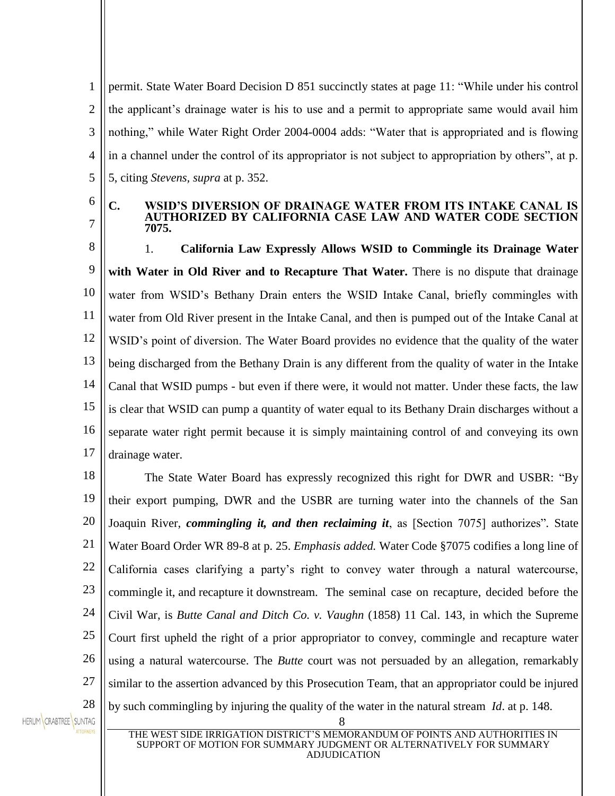1 2 3 4 5 permit. State Water Board Decision D 851 succinctly states at page 11: "While under his control the applicant's drainage water is his to use and a permit to appropriate same would avail him nothing," while Water Right Order 2004-0004 adds: "Water that is appropriated and is flowing in a channel under the control of its appropriator is not subject to appropriation by others", at p. 5, citing *Stevens, supra* at p. 352.

6 7

#### **C. WSID'S DIVERSION OF DRAINAGE WATER FROM ITS INTAKE CANAL IS AUTHORIZED BY CALIFORNIA CASE LAW AND WATER CODE SECTION 7075.**

8 9 10 11 12 13 14 15 16 17 1. **California Law Expressly Allows WSID to Commingle its Drainage Water with Water in Old River and to Recapture That Water.** There is no dispute that drainage water from WSID's Bethany Drain enters the WSID Intake Canal, briefly commingles with water from Old River present in the Intake Canal, and then is pumped out of the Intake Canal at WSID's point of diversion. The Water Board provides no evidence that the quality of the water being discharged from the Bethany Drain is any different from the quality of water in the Intake Canal that WSID pumps - but even if there were, it would not matter. Under these facts, the law is clear that WSID can pump a quantity of water equal to its Bethany Drain discharges without a separate water right permit because it is simply maintaining control of and conveying its own drainage water.

18 19 20 21 22 23 24 25 26 27 28 The State Water Board has expressly recognized this right for DWR and USBR: "By their export pumping, DWR and the USBR are turning water into the channels of the San Joaquin River, *commingling it, and then reclaiming it*, as [Section 7075] authorizes"*.* State Water Board Order WR 89-8 at p. 25. *Emphasis added.* Water Code §7075 codifies a long line of California cases clarifying a party's right to convey water through a natural watercourse, commingle it, and recapture it downstream. The seminal case on recapture, decided before the Civil War, is *Butte Canal and Ditch Co. v. Vaughn* (1858) 11 Cal. 143, in which the Supreme Court first upheld the right of a prior appropriator to convey, commingle and recapture water using a natural watercourse. The *Butte* court was not persuaded by an allegation, remarkably similar to the assertion advanced by this Prosecution Team, that an appropriator could be injured by such commingling by injuring the quality of the water in the natural stream *Id*. at p. 148.

HERUM CRABTREE SUNTAG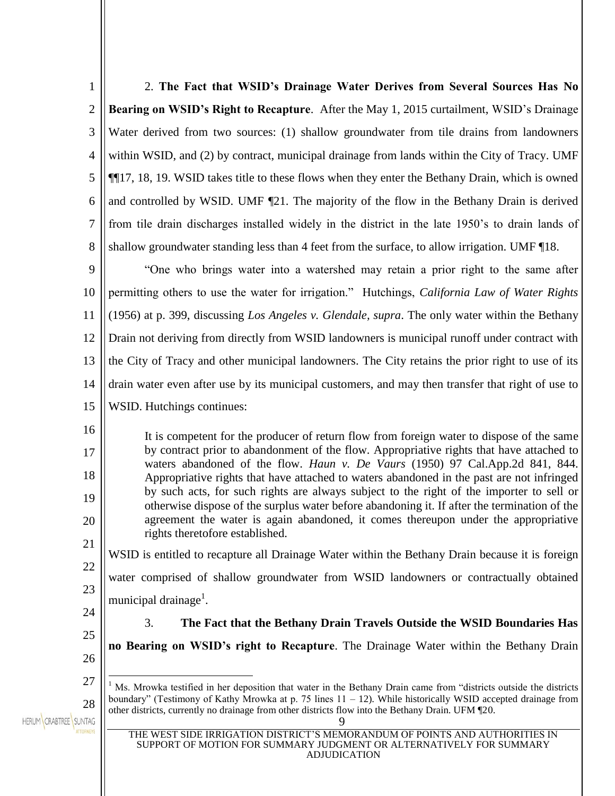| $\mathbf{1}$   | 2. The Fact that WSID's Drainage Water Derives from Several Sources Has No                                                                                                                                                                         |
|----------------|----------------------------------------------------------------------------------------------------------------------------------------------------------------------------------------------------------------------------------------------------|
| $\overline{c}$ | Bearing on WSID's Right to Recapture. After the May 1, 2015 curtailment, WSID's Drainage                                                                                                                                                           |
| 3              | Water derived from two sources: (1) shallow groundwater from tile drains from landowners                                                                                                                                                           |
| 4              | within WSID, and (2) by contract, municipal drainage from lands within the City of Tracy. UMF                                                                                                                                                      |
| 5              | ¶¶17, 18, 19. WSID takes title to these flows when they enter the Bethany Drain, which is owned                                                                                                                                                    |
| 6              | and controlled by WSID. UMF [21. The majority of the flow in the Bethany Drain is derived                                                                                                                                                          |
| 7              | from tile drain discharges installed widely in the district in the late 1950's to drain lands of                                                                                                                                                   |
| 8              | shallow groundwater standing less than 4 feet from the surface, to allow irrigation. UMF 18.                                                                                                                                                       |
| 9              | "One who brings water into a watershed may retain a prior right to the same after                                                                                                                                                                  |
| 10             | permitting others to use the water for irrigation." Hutchings, California Law of Water Rights                                                                                                                                                      |
| 11             | (1956) at p. 399, discussing Los Angeles v. Glendale, supra. The only water within the Bethany                                                                                                                                                     |
| 12             | Drain not deriving from directly from WSID landowners is municipal runoff under contract with                                                                                                                                                      |
| 13             | the City of Tracy and other municipal landowners. The City retains the prior right to use of its                                                                                                                                                   |
| 14             | drain water even after use by its municipal customers, and may then transfer that right of use to                                                                                                                                                  |
| 15             | WSID. Hutchings continues:                                                                                                                                                                                                                         |
| 16             | It is competent for the producer of return flow from foreign water to dispose of the same                                                                                                                                                          |
| 17             | by contract prior to abandonment of the flow. Appropriative rights that have attached to<br>waters abandoned of the flow. Haun v. De Vaurs (1950) 97 Cal.App.2d 841, 844.                                                                          |
| 18             | Appropriative rights that have attached to waters abandoned in the past are not infringed<br>by such acts, for such rights are always subject to the right of the importer to sell or                                                              |
| 19             | otherwise dispose of the surplus water before abandoning it. If after the termination of the                                                                                                                                                       |
| 20             | agreement the water is again abandoned, it comes thereupon under the appropriative<br>rights theretofore established.                                                                                                                              |
| 21             | WSID is entitled to recapture all Drainage Water within the Bethany Drain because it is foreign                                                                                                                                                    |
| 22             | water comprised of shallow groundwater from WSID landowners or contractually obtained                                                                                                                                                              |
| 23             | municipal drainage <sup>1</sup> .                                                                                                                                                                                                                  |
| 24             | The Fact that the Bethany Drain Travels Outside the WSID Boundaries Has<br>3.                                                                                                                                                                      |
| 25             | no Bearing on WSID's right to Recapture. The Drainage Water within the Bethany Drain                                                                                                                                                               |
| 26             |                                                                                                                                                                                                                                                    |
| 27<br>28       | <sup>1</sup> Ms. Mrowka testified in her deposition that water in the Bethany Drain came from "districts outside the districts"<br>boundary" (Testimony of Kathy Mrowka at p. 75 lines $11 - 12$ ). While historically WSID accepted drainage from |
| SUNTAG         | other districts, currently no drainage from other districts flow into the Bethany Drain. UFM ¶20.                                                                                                                                                  |
|                | THE WEST SIDE IRRIGATION DISTRICT'S MEMORANDUM OF POINTS AND AUTHORITIES IN<br>SUPPORT OF MOTION FOR SUMMARY JUDGMENT OR ALTERNATIVELY FOR SUMMARY<br><b>ADJUDICATION</b>                                                                          |
|                |                                                                                                                                                                                                                                                    |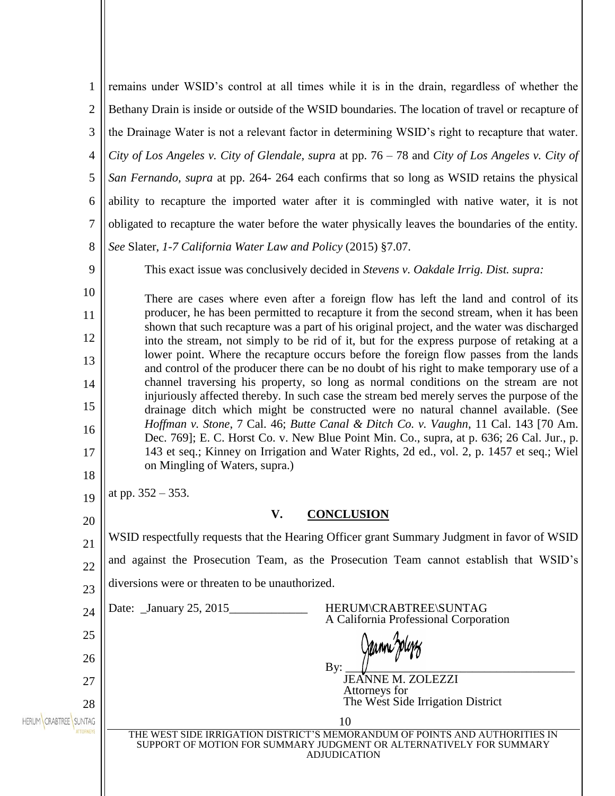| 1                   | remains under WSID's control at all times while it is in the drain, regardless of whether the                                                                                          |  |  |
|---------------------|----------------------------------------------------------------------------------------------------------------------------------------------------------------------------------------|--|--|
| 2                   | Bethany Drain is inside or outside of the WSID boundaries. The location of travel or recapture of                                                                                      |  |  |
| 3                   | the Drainage Water is not a relevant factor in determining WSID's right to recapture that water.                                                                                       |  |  |
| $\overline{4}$      | City of Los Angeles v. City of Glendale, supra at pp. 76 – 78 and City of Los Angeles v. City of                                                                                       |  |  |
| 5                   | San Fernando, supra at pp. 264-264 each confirms that so long as WSID retains the physical                                                                                             |  |  |
| 6                   | ability to recapture the imported water after it is commingled with native water, it is not                                                                                            |  |  |
| 7                   | obligated to recapture the water before the water physically leaves the boundaries of the entity.                                                                                      |  |  |
| 8                   | See Slater, 1-7 California Water Law and Policy (2015) §7.07.                                                                                                                          |  |  |
| 9                   | This exact issue was conclusively decided in <i>Stevens v. Oakdale Irrig. Dist. supra</i> :                                                                                            |  |  |
| 10                  | There are cases where even after a foreign flow has left the land and control of its                                                                                                   |  |  |
| 11                  | producer, he has been permitted to recapture it from the second stream, when it has been<br>shown that such recapture was a part of his original project, and the water was discharged |  |  |
| 12                  | into the stream, not simply to be rid of it, but for the express purpose of retaking at a                                                                                              |  |  |
| 13                  | lower point. Where the recapture occurs before the foreign flow passes from the lands<br>and control of the producer there can be no doubt of his right to make temporary use of a     |  |  |
| 14                  | channel traversing his property, so long as normal conditions on the stream are not                                                                                                    |  |  |
| 15                  | injuriously affected thereby. In such case the stream bed merely serves the purpose of the<br>drainage ditch which might be constructed were no natural channel available. (See        |  |  |
| 16                  | Hoffman v. Stone, 7 Cal. 46; Butte Canal & Ditch Co. v. Vaughn, 11 Cal. 143 [70 Am.<br>Dec. 769]; E. C. Horst Co. v. New Blue Point Min. Co., supra, at p. 636; 26 Cal. Jur., p.       |  |  |
| 17                  | 143 et seq.; Kinney on Irrigation and Water Rights, 2d ed., vol. 2, p. 1457 et seq.; Wiel<br>on Mingling of Waters, supra.)                                                            |  |  |
| 18                  |                                                                                                                                                                                        |  |  |
| 19                  | at pp. $352 - 353$ .                                                                                                                                                                   |  |  |
| 20                  | $\mathbf{V}$<br><b>CONCLUSION</b>                                                                                                                                                      |  |  |
| 21                  | WSID respectfully requests that the Hearing Officer grant Summary Judgment in favor of WSID                                                                                            |  |  |
| 22                  | and against the Prosecution Team, as the Prosecution Team cannot establish that WSID's                                                                                                 |  |  |
| 23                  | diversions were or threaten to be unauthorized.                                                                                                                                        |  |  |
| 24                  | Date: January 25, 2015<br>HERUM\CRABTREE\SUNTAG<br>A California Professional Corporation                                                                                               |  |  |
| 25                  |                                                                                                                                                                                        |  |  |
| 26                  | By:                                                                                                                                                                                    |  |  |
| 27                  | JEANNE M. ZOLEZZI<br>Attorneys for                                                                                                                                                     |  |  |
| 28<br><b>SUNTAG</b> | The West Side Irrigation District<br>10                                                                                                                                                |  |  |
|                     | THE WEST SIDE IRRIGATION DISTRICT'S MEMORANDUM OF POINTS AND AUTHORITIES IN<br>SUPPORT OF MOTION FOR SUMMARY JUDGMENT OR ALTERNATIVELY FOR SUMMARY<br><b>ADJUDICATION</b>              |  |  |
|                     |                                                                                                                                                                                        |  |  |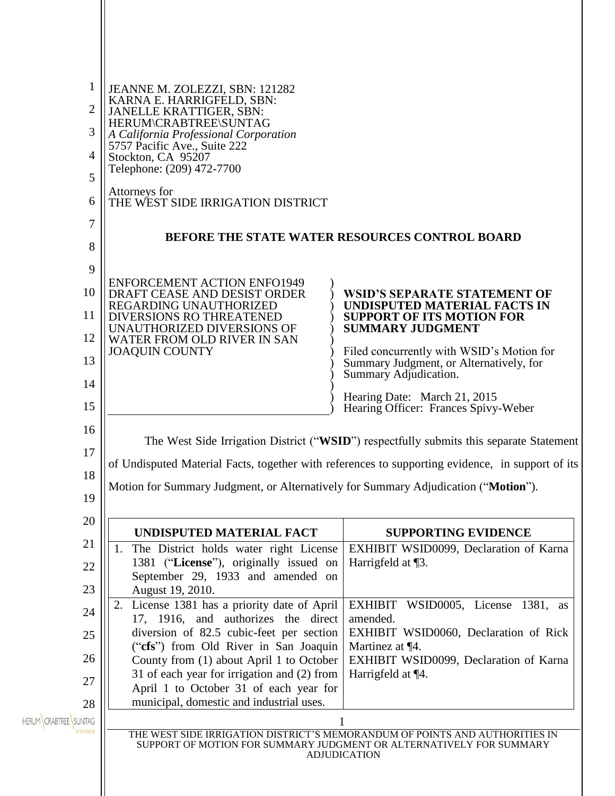| 1<br>$\overline{2}$<br>3<br>4<br>5<br>6 | JEANNE M. ZOLEZZI, SBN: 121282<br>KARNA E. HARRIGFELD, SBN:<br>JANELLE KRATTIGER, SBN:<br>HERUM\CRABTREE\SUNTAG<br>A California Professional Corporation<br>5757 Pacific Ave., Suite 222<br>Stockton, CA 95207<br>Telephone: (209) 472-7700<br>Attorneys for<br>THE WEST SIDE IRRIGATION DISTRICT |                                                                                                                                                                                             |
|-----------------------------------------|---------------------------------------------------------------------------------------------------------------------------------------------------------------------------------------------------------------------------------------------------------------------------------------------------|---------------------------------------------------------------------------------------------------------------------------------------------------------------------------------------------|
| 7                                       | <b>BEFORE THE STATE WATER RESOURCES CONTROL BOARD</b>                                                                                                                                                                                                                                             |                                                                                                                                                                                             |
| 8<br>9                                  |                                                                                                                                                                                                                                                                                                   |                                                                                                                                                                                             |
| 10                                      | <b>ENFORCEMENT ACTION ENFO1949</b><br>DRAFT CEASE AND DESIST ORDER<br>REGARDING UNAUTHORIZED                                                                                                                                                                                                      | <b>WSID'S SEPARATE STATEMENT OF</b><br>UNDISPUTED MATERIAL FACTS IN                                                                                                                         |
| 11<br>12                                | <b>DIVERSIONS RO THREATENED</b><br>UNAUTHORIZED DIVERSIONS OF<br>WATER FROM OLD RIVER IN SAN                                                                                                                                                                                                      | <b>SUPPORT OF ITS MOTION FOR</b><br><b>SUMMARY JUDGMENT</b>                                                                                                                                 |
| 13                                      | <b>JOAQUIN COUNTY</b>                                                                                                                                                                                                                                                                             | Filed concurrently with WSID's Motion for<br>Summary Judgment, or Alternatively, for                                                                                                        |
| 14<br>15                                |                                                                                                                                                                                                                                                                                                   | Summary Adjudication.<br>Hearing Date: March 21, 2015                                                                                                                                       |
| 16                                      |                                                                                                                                                                                                                                                                                                   | Hearing Officer: Frances Spivy-Weber                                                                                                                                                        |
| 17                                      |                                                                                                                                                                                                                                                                                                   | The West Side Irrigation District ("WSID") respectfully submits this separate Statement<br>of Undisputed Material Facts, together with references to supporting evidence, in support of its |
| 18<br>19                                | Motion for Summary Judgment, or Alternatively for Summary Adjudication ("Motion").                                                                                                                                                                                                                |                                                                                                                                                                                             |
| 20                                      | UNDISPUTED MATERIAL FACT                                                                                                                                                                                                                                                                          | <b>SUPPORTING EVIDENCE</b>                                                                                                                                                                  |
| 21                                      | The District holds water right License<br>1.                                                                                                                                                                                                                                                      | EXHIBIT WSID0099, Declaration of Karna                                                                                                                                                      |
| 22                                      | 1381 ("License"), originally issued on<br>September 29, 1933 and amended on                                                                                                                                                                                                                       | Harrigfeld at $\P$ 3.                                                                                                                                                                       |
| 23<br>24                                | August 19, 2010.<br>License 1381 has a priority date of April<br>2.<br>17, 1916, and authorizes the direct                                                                                                                                                                                        | EXHIBIT WSID0005, License 1381, as<br>amended.                                                                                                                                              |
| 25                                      | diversion of 82.5 cubic-feet per section<br>("cfs") from Old River in San Joaquin                                                                                                                                                                                                                 | EXHIBIT WSID0060, Declaration of Rick<br>Martinez at ¶4.                                                                                                                                    |
| 26                                      | County from (1) about April 1 to October                                                                                                                                                                                                                                                          | EXHIBIT WSID0099, Declaration of Karna                                                                                                                                                      |
| 27                                      | 31 of each year for irrigation and (2) from<br>April 1 to October 31 of each year for                                                                                                                                                                                                             | Harrigfeld at ¶4.                                                                                                                                                                           |
| 28<br>HERUM CRABTREE SUNTAG             | municipal, domestic and industrial uses.                                                                                                                                                                                                                                                          | THE WEST SIDE IRRIGATION DISTRICT'S MEMORANDUM OF POINTS AND AUTHORITIES IN<br>SUPPORT OF MOTION FOR SUMMARY JUDGMENT OR ALTERNATIVELY FOR SUMMARY                                          |
|                                         |                                                                                                                                                                                                                                                                                                   | <b>ADJUDICATION</b>                                                                                                                                                                         |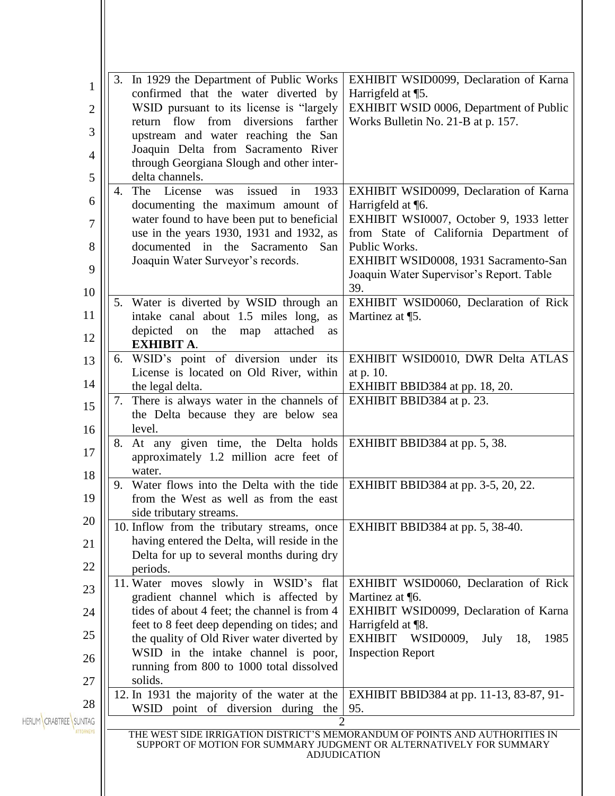| 1<br>$\overline{c}$         | In 1929 the Department of Public Works<br>3.<br>confirmed that the water diverted by<br>WSID pursuant to its license is "largely"<br>return flow from diversions farther                                            | EXHIBIT WSID0099, Declaration of Karna<br>Harrigfeld at ¶5.<br>EXHIBIT WSID 0006, Department of Public<br>Works Bulletin No. 21-B at p. 157.                      |
|-----------------------------|---------------------------------------------------------------------------------------------------------------------------------------------------------------------------------------------------------------------|-------------------------------------------------------------------------------------------------------------------------------------------------------------------|
| 3<br>4<br>5                 | upstream and water reaching the San<br>Joaquin Delta from Sacramento River<br>through Georgiana Slough and other inter-<br>delta channels.                                                                          |                                                                                                                                                                   |
| 6<br>7<br>8                 | The License<br>issued<br>1933<br>was<br>4.<br>in<br>documenting the maximum amount of<br>water found to have been put to beneficial<br>use in the years 1930, 1931 and 1932, as<br>documented in the Sacramento San | EXHIBIT WSID0099, Declaration of Karna<br>Harrigfeld at ¶6.<br>EXHIBIT WSI0007, October 9, 1933 letter<br>from State of California Department of<br>Public Works. |
| 9<br>10                     | Joaquin Water Surveyor's records.                                                                                                                                                                                   | EXHIBIT WSID0008, 1931 Sacramento-San<br>Joaquin Water Supervisor's Report. Table<br>39.                                                                          |
| 11<br>12                    | 5. Water is diverted by WSID through an<br>intake canal about 1.5 miles long,<br>as<br>depicted<br>attached<br>on the<br>map<br>as<br><b>EXHIBIT A.</b>                                                             | EXHIBIT WSID0060, Declaration of Rick<br>Martinez at ¶5.                                                                                                          |
| 13<br>14                    | WSID's point of diversion under its<br>6.<br>License is located on Old River, within<br>the legal delta.                                                                                                            | EXHIBIT WSID0010, DWR Delta ATLAS<br>at p. 10.<br>EXHIBIT BBID384 at pp. 18, 20.                                                                                  |
| 15<br>16                    | There is always water in the channels of<br>7.<br>the Delta because they are below sea<br>level.                                                                                                                    | EXHIBIT BBID384 at p. 23.                                                                                                                                         |
| 17<br>18                    | At any given time, the Delta holds<br>8.<br>approximately 1.2 million acre feet of<br>water.                                                                                                                        | EXHIBIT BBID384 at pp. 5, 38.                                                                                                                                     |
| 19                          | Water flows into the Delta with the tide<br>9.<br>from the West as well as from the east<br>side tributary streams.                                                                                                 | <b>EXHIBIT BBID384</b> at pp. 3-5, 20, 22.                                                                                                                        |
| 20<br>21                    | 10. Inflow from the tributary streams, once<br>having entered the Delta, will reside in the<br>Delta for up to several months during dry                                                                            | EXHIBIT BBID384 at pp. 5, 38-40.                                                                                                                                  |
| 22<br>23                    | periods.<br>11. Water moves slowly in WSID's flat<br>gradient channel which is affected by<br>tides of about 4 feet; the channel is from 4                                                                          | EXHIBIT WSID0060, Declaration of Rick<br>Martinez at $\P$ 6.<br>EXHIBIT WSID0099, Declaration of Karna                                                            |
| 24<br>25                    | feet to 8 feet deep depending on tides; and<br>the quality of Old River water diverted by<br>WSID in the intake channel is poor,                                                                                    | Harrigfeld at ¶8.<br>EXHIBIT WSID0009,<br>July $18$ ,<br>1985<br><b>Inspection Report</b>                                                                         |
| 26<br>27                    | running from 800 to 1000 total dissolved<br>solids.<br>12. In 1931 the majority of the water at the                                                                                                                 | EXHIBIT BBID384 at pp. 11-13, 83-87, 91-                                                                                                                          |
| 28<br>HERUM CRABTREE SUNTAG | WSID point of diversion during the                                                                                                                                                                                  | 95.<br>THE WEST SIDE IRRIGATION DISTRICT'S MEMORANDUM OF POINTS AND AUTHORITIES IN                                                                                |
|                             |                                                                                                                                                                                                                     | SUPPORT OF MOTION FOR SUMMARY JUDGMENT OR ALTERNATIVELY FOR SUMMARY<br><b>ADJUDICATION</b>                                                                        |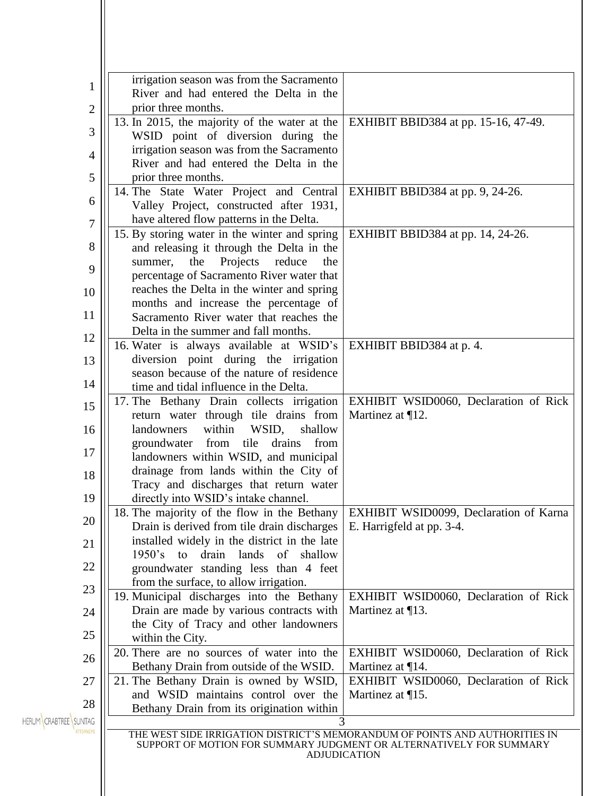|                                           | irrigation season was from the Sacramento                                           |                                                                                                                                                    |
|-------------------------------------------|-------------------------------------------------------------------------------------|----------------------------------------------------------------------------------------------------------------------------------------------------|
| 1                                         | River and had entered the Delta in the                                              |                                                                                                                                                    |
| $\overline{c}$                            | prior three months.                                                                 |                                                                                                                                                    |
|                                           | 13. In 2015, the majority of the water at the                                       | EXHIBIT BBID384 at pp. 15-16, 47-49.                                                                                                               |
| 3                                         | WSID point of diversion during the                                                  |                                                                                                                                                    |
| irrigation season was from the Sacramento |                                                                                     |                                                                                                                                                    |
| $\overline{4}$                            | River and had entered the Delta in the                                              |                                                                                                                                                    |
| $\mathfrak{S}$                            | prior three months.                                                                 |                                                                                                                                                    |
|                                           | 14. The State Water Project and Central                                             | EXHIBIT BBID384 at pp. 9, 24-26.                                                                                                                   |
| 6                                         | Valley Project, constructed after 1931,                                             |                                                                                                                                                    |
| 7                                         | have altered flow patterns in the Delta.                                            |                                                                                                                                                    |
|                                           | 15. By storing water in the winter and spring                                       | EXHIBIT BBID384 at pp. 14, 24-26.                                                                                                                  |
| 8                                         | and releasing it through the Delta in the                                           |                                                                                                                                                    |
|                                           | the Projects reduce<br>summer,<br>the                                               |                                                                                                                                                    |
| 9                                         | percentage of Sacramento River water that                                           |                                                                                                                                                    |
| 10                                        | reaches the Delta in the winter and spring                                          |                                                                                                                                                    |
|                                           | months and increase the percentage of                                               |                                                                                                                                                    |
| 11                                        | Sacramento River water that reaches the                                             |                                                                                                                                                    |
| 12                                        | Delta in the summer and fall months.                                                |                                                                                                                                                    |
|                                           | 16. Water is always available at WSID's                                             | EXHIBIT BBID384 at p. 4.                                                                                                                           |
| 13                                        | diversion point during the irrigation                                               |                                                                                                                                                    |
|                                           | season because of the nature of residence                                           |                                                                                                                                                    |
| 14                                        | time and tidal influence in the Delta.                                              |                                                                                                                                                    |
| 15                                        | 17. The Bethany Drain collects irrigation                                           | EXHIBIT WSID0060, Declaration of Rick                                                                                                              |
|                                           | return water through tile drains from                                               | Martinez at $\P$ 12.                                                                                                                               |
| 16                                        | landowners<br>within<br>WSID,<br>shallow                                            |                                                                                                                                                    |
| 17                                        | groundwater from tile drains from                                                   |                                                                                                                                                    |
|                                           | landowners within WSID, and municipal                                               |                                                                                                                                                    |
| 18                                        | drainage from lands within the City of                                              |                                                                                                                                                    |
|                                           | Tracy and discharges that return water                                              |                                                                                                                                                    |
| 19                                        | directly into WSID's intake channel.<br>18. The majority of the flow in the Bethany |                                                                                                                                                    |
| 20                                        | Drain is derived from tile drain discharges                                         | EXHIBIT WSID0099, Declaration of Karna<br>E. Harrigfeld at pp. 3-4.                                                                                |
|                                           | installed widely in the district in the late                                        |                                                                                                                                                    |
| 21                                        | drain lands<br>of shallow<br>1950's<br>to                                           |                                                                                                                                                    |
| 22                                        | groundwater standing less than 4 feet                                               |                                                                                                                                                    |
|                                           | from the surface, to allow irrigation.                                              |                                                                                                                                                    |
| 23                                        | 19. Municipal discharges into the Bethany                                           | EXHIBIT WSID0060, Declaration of Rick                                                                                                              |
| 24                                        | Drain are made by various contracts with                                            | Martinez at $\P$ 13.                                                                                                                               |
|                                           | the City of Tracy and other landowners                                              |                                                                                                                                                    |
| 25                                        | within the City.                                                                    |                                                                                                                                                    |
|                                           | 20. There are no sources of water into the                                          | EXHIBIT WSID0060, Declaration of Rick                                                                                                              |
| 26                                        | Bethany Drain from outside of the WSID.                                             | Martinez at $\P$ 14.                                                                                                                               |
| 27                                        | 21. The Bethany Drain is owned by WSID,                                             | EXHIBIT WSID0060, Declaration of Rick                                                                                                              |
|                                           | and WSID maintains control over the                                                 | Martinez at $\P$ 15.                                                                                                                               |
| 28                                        | Bethany Drain from its origination within                                           |                                                                                                                                                    |
| HERUM CRABTREE SUNTAG                     | 3                                                                                   |                                                                                                                                                    |
|                                           |                                                                                     | THE WEST SIDE IRRIGATION DISTRICT'S MEMORANDUM OF POINTS AND AUTHORITIES IN<br>SUPPORT OF MOTION FOR SUMMARY JUDGMENT OR ALTERNATIVELY FOR SUMMARY |
|                                           |                                                                                     | <b>ADJUDICATION</b>                                                                                                                                |
|                                           |                                                                                     |                                                                                                                                                    |
|                                           |                                                                                     |                                                                                                                                                    |
|                                           |                                                                                     |                                                                                                                                                    |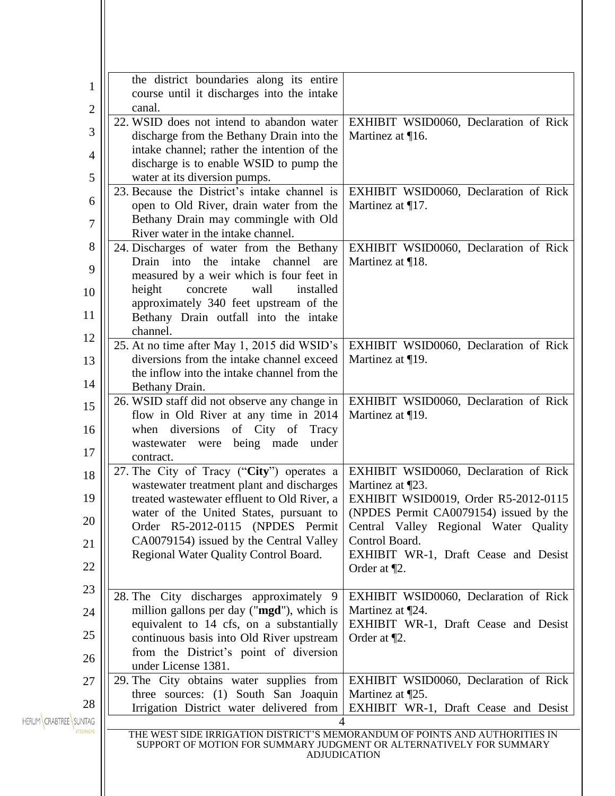|                                 | the district boundaries along its entire                                                   |                                                                             |
|---------------------------------|--------------------------------------------------------------------------------------------|-----------------------------------------------------------------------------|
| 1                               | course until it discharges into the intake                                                 |                                                                             |
| 2                               | canal.                                                                                     |                                                                             |
|                                 | 22. WSID does not intend to abandon water                                                  | EXHIBIT WSID0060, Declaration of Rick                                       |
| 3                               | discharge from the Bethany Drain into the                                                  | Martinez at $\P$ 16.                                                        |
| 4                               | intake channel; rather the intention of the                                                |                                                                             |
|                                 | discharge is to enable WSID to pump the                                                    |                                                                             |
| 5                               | water at its diversion pumps.                                                              |                                                                             |
| 6                               | 23. Because the District's intake channel is                                               | EXHIBIT WSID0060, Declaration of Rick                                       |
|                                 | open to Old River, drain water from the<br>Bethany Drain may commingle with Old            | Martinez at $\P$ 17.                                                        |
| 7                               | River water in the intake channel.                                                         |                                                                             |
| 8                               | 24. Discharges of water from the Bethany                                                   | EXHIBIT WSID0060, Declaration of Rick                                       |
|                                 | Drain into the intake channel are                                                          | Martinez at ¶18.                                                            |
| 9                               | measured by a weir which is four feet in                                                   |                                                                             |
| 10                              | height<br>concrete<br>wall<br>installed                                                    |                                                                             |
|                                 | approximately 340 feet upstream of the                                                     |                                                                             |
| 11                              | Bethany Drain outfall into the intake                                                      |                                                                             |
| 12                              | channel.                                                                                   |                                                                             |
|                                 | 25. At no time after May 1, 2015 did WSID's                                                | EXHIBIT WSID0060, Declaration of Rick                                       |
| 13                              | diversions from the intake channel exceed                                                  | Martinez at $\P$ 19.                                                        |
| 14                              | the inflow into the intake channel from the                                                |                                                                             |
|                                 | Bethany Drain.<br>26. WSID staff did not observe any change in                             | EXHIBIT WSID0060, Declaration of Rick                                       |
| 15                              | flow in Old River at any time in 2014                                                      | Martinez at ¶19.                                                            |
| 16                              | when diversions<br>of City of<br>Tracy                                                     |                                                                             |
|                                 | being made<br>wastewater were<br>under                                                     |                                                                             |
| 17                              | contract.                                                                                  |                                                                             |
| 18                              | 27. The City of Tracy ("City") operates a                                                  | EXHIBIT WSID0060, Declaration of Rick                                       |
|                                 | wastewater treatment plant and discharges                                                  | Martinez at $\P$ 23.                                                        |
| 19                              | treated wastewater effluent to Old River, a                                                | EXHIBIT WSID0019, Order R5-2012-0115                                        |
| 20                              | water of the United States, pursuant to                                                    | (NPDES Permit CA0079154) issued by the                                      |
|                                 | Order R5-2012-0115 (NPDES Permit                                                           | Central Valley Regional Water Quality                                       |
| 21                              | CA0079154) issued by the Central Valley<br>Regional Water Quality Control Board.           | Control Board.<br>EXHIBIT WR-1, Draft Cease and Desist                      |
| 22                              |                                                                                            | Order at $\P$ 2.                                                            |
|                                 |                                                                                            |                                                                             |
| 23                              | 28. The City discharges approximately 9                                                    | EXHIBIT WSID0060, Declaration of Rick                                       |
| 24                              | million gallons per day ("mgd"), which is                                                  | Martinez at ¶24.                                                            |
|                                 | equivalent to 14 cfs, on a substantially                                                   | EXHIBIT WR-1, Draft Cease and Desist                                        |
| 25                              | continuous basis into Old River upstream                                                   | Order at $\P$ 2.                                                            |
| 26                              | from the District's point of diversion                                                     |                                                                             |
|                                 | under License 1381.                                                                        |                                                                             |
| 27                              | 29. The City obtains water supplies from                                                   | EXHIBIT WSID0060, Declaration of Rick                                       |
| 28                              | three sources: (1) South San Joaquin<br>Irrigation District water delivered from           | Martinez at ¶25.<br>EXHIBIT WR-1, Draft Cease and Desist                    |
| SUNTAG<br><b>HERUM CRABTREE</b> | 4                                                                                          |                                                                             |
|                                 |                                                                                            | THE WEST SIDE IRRIGATION DISTRICT'S MEMORANDUM OF POINTS AND AUTHORITIES IN |
|                                 | SUPPORT OF MOTION FOR SUMMARY JUDGMENT OR ALTERNATIVELY FOR SUMMARY<br><b>ADJUDICATION</b> |                                                                             |
|                                 |                                                                                            |                                                                             |
|                                 |                                                                                            |                                                                             |
|                                 |                                                                                            |                                                                             |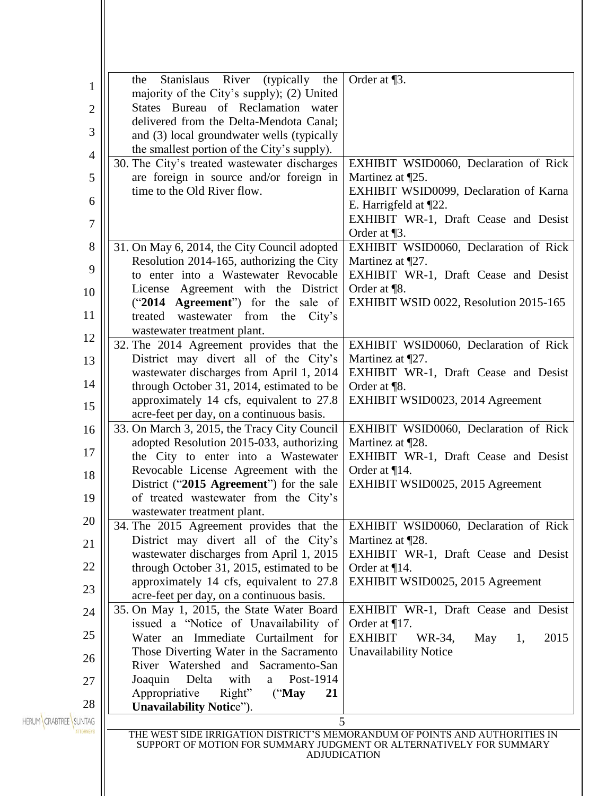|                          | Stanislaus<br>River<br>(typically the<br>the                             | Order at $\P$ 3.                                                            |
|--------------------------|--------------------------------------------------------------------------|-----------------------------------------------------------------------------|
| $\mathbf 1$              | majority of the City's supply); (2) United                               |                                                                             |
| $\mathbf{2}$             | States Bureau of Reclamation water                                       |                                                                             |
|                          | delivered from the Delta-Mendota Canal;                                  |                                                                             |
| 3                        | and (3) local groundwater wells (typically                               |                                                                             |
| $\overline{4}$           | the smallest portion of the City's supply).                              |                                                                             |
|                          | 30. The City's treated wastewater discharges                             | EXHIBIT WSID0060, Declaration of Rick                                       |
| 5                        | are foreign in source and/or foreign in                                  | Martinez at ¶25.                                                            |
|                          | time to the Old River flow.                                              | EXHIBIT WSID0099, Declaration of Karna                                      |
| 6                        |                                                                          | E. Harrigfeld at ¶22.                                                       |
| $\boldsymbol{7}$         |                                                                          | EXHIBIT WR-1, Draft Cease and Desist                                        |
|                          |                                                                          | Order at $\P$ 3.                                                            |
| 8                        | 31. On May 6, 2014, the City Council adopted                             | EXHIBIT WSID0060, Declaration of Rick                                       |
| 9                        | Resolution 2014-165, authorizing the City                                | Martinez at $\P$ 27.                                                        |
|                          | to enter into a Wastewater Revocable                                     | EXHIBIT WR-1, Draft Cease and Desist                                        |
| 10                       | License Agreement with the District                                      | Order at $\P$ 8.                                                            |
| 11                       | ("2014 Agreement") for the sale of<br>treated wastewater from the City's | EXHIBIT WSID 0022, Resolution 2015-165                                      |
|                          | wastewater treatment plant.                                              |                                                                             |
| 12                       | 32. The 2014 Agreement provides that the                                 | EXHIBIT WSID0060, Declaration of Rick                                       |
| 13                       | District may divert all of the City's                                    | Martinez at ¶27.                                                            |
|                          | wastewater discharges from April 1, 2014                                 | EXHIBIT WR-1, Draft Cease and Desist                                        |
| 14                       | through October 31, 2014, estimated to be                                | Order at ¶8.                                                                |
|                          | approximately 14 cfs, equivalent to 27.8                                 | EXHIBIT WSID0023, 2014 Agreement                                            |
| 15                       | acre-feet per day, on a continuous basis.                                |                                                                             |
| 16                       | 33. On March 3, 2015, the Tracy City Council                             | EXHIBIT WSID0060, Declaration of Rick                                       |
|                          | adopted Resolution 2015-033, authorizing                                 | Martinez at ¶28.                                                            |
| 17                       | the City to enter into a Wastewater                                      | EXHIBIT WR-1, Draft Cease and Desist                                        |
| 18                       | Revocable License Agreement with the                                     | Order at $\P$ 14.                                                           |
|                          | District ("2015 Agreement") for the sale                                 | EXHIBIT WSID0025, 2015 Agreement                                            |
| 19                       | of treated wastewater from the City's                                    |                                                                             |
| 20                       | wastewater treatment plant.<br>34. The 2015 Agreement provides that the  | EXHIBIT WSID0060, Declaration of Rick                                       |
|                          | District may divert all of the City's                                    | Martinez at ¶28.                                                            |
| 21                       | wastewater discharges from April 1, 2015                                 | EXHIBIT WR-1, Draft Cease and Desist                                        |
| 22                       | through October 31, 2015, estimated to be                                | Order at ¶14.                                                               |
|                          | approximately 14 cfs, equivalent to 27.8                                 | EXHIBIT WSID0025, 2015 Agreement                                            |
| 23                       | acre-feet per day, on a continuous basis.                                |                                                                             |
| 24                       | 35. On May 1, 2015, the State Water Board                                | EXHIBIT WR-1, Draft Cease and Desist                                        |
|                          | issued a "Notice of Unavailability of                                    | Order at ¶17.                                                               |
| 25                       | Water an Immediate Curtailment for                                       | <b>EXHIBIT</b><br>WR-34,<br>May<br>2015<br>1,                               |
| 26                       | Those Diverting Water in the Sacramento                                  | <b>Unavailability Notice</b>                                                |
|                          | River Watershed and Sacramento-San                                       |                                                                             |
| 27                       | with<br>Post-1914<br>Joaquin<br>Delta<br>a                               |                                                                             |
| 28                       | Right"<br>Appropriative<br>$($ "May<br>21                                |                                                                             |
| HERUM CRABTREE<br>SUNTAG | <b>Unavailability Notice").</b><br>5                                     |                                                                             |
|                          |                                                                          | THE WEST SIDE IRRIGATION DISTRICT'S MEMORANDUM OF POINTS AND AUTHORITIES IN |
|                          |                                                                          | SUPPORT OF MOTION FOR SUMMARY JUDGMENT OR ALTERNATIVELY FOR SUMMARY         |
|                          |                                                                          | <b>ADJUDICATION</b>                                                         |
|                          |                                                                          |                                                                             |
|                          |                                                                          |                                                                             |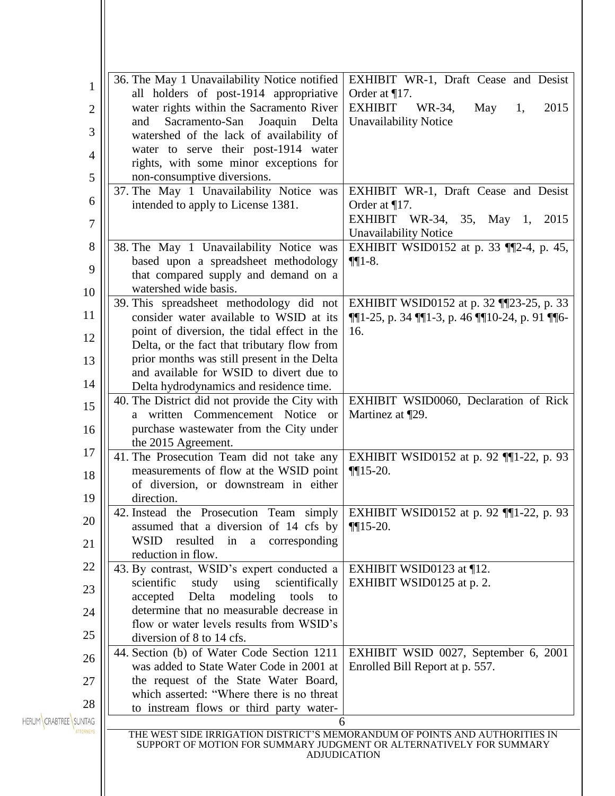|                                                      | 36. The May 1 Unavailability Notice notified                                                   | EXHIBIT WR-1, Draft Cease and Desist                                                                                                                                                                                                                                         |  |  |
|------------------------------------------------------|------------------------------------------------------------------------------------------------|------------------------------------------------------------------------------------------------------------------------------------------------------------------------------------------------------------------------------------------------------------------------------|--|--|
| 1                                                    | all holders of post-1914 appropriative                                                         | Order at $\P$ 17.                                                                                                                                                                                                                                                            |  |  |
| 2                                                    | water rights within the Sacramento River                                                       | <b>EXHIBIT</b><br>WR-34,<br>May<br>2015<br>1,                                                                                                                                                                                                                                |  |  |
|                                                      | Sacramento-San<br>Joaquin<br>and<br>Delta                                                      | <b>Unavailability Notice</b>                                                                                                                                                                                                                                                 |  |  |
| 3                                                    | watershed of the lack of availability of                                                       |                                                                                                                                                                                                                                                                              |  |  |
| 4                                                    | water to serve their post-1914 water                                                           |                                                                                                                                                                                                                                                                              |  |  |
|                                                      | rights, with some minor exceptions for                                                         |                                                                                                                                                                                                                                                                              |  |  |
| 5                                                    | non-consumptive diversions.                                                                    | EXHIBIT WR-1, Draft Cease and Desist                                                                                                                                                                                                                                         |  |  |
| 6                                                    | 37. The May 1 Unavailability Notice was<br>intended to apply to License 1381.                  | Order at $\P$ 17.                                                                                                                                                                                                                                                            |  |  |
|                                                      |                                                                                                | EXHIBIT WR-34, 35, May 1, 2015                                                                                                                                                                                                                                               |  |  |
| 7                                                    |                                                                                                | <b>Unavailability Notice</b>                                                                                                                                                                                                                                                 |  |  |
| 8                                                    | 38. The May 1 Unavailability Notice was                                                        | EXHIBIT WSID0152 at p. 33 [[2-4, p. 45,                                                                                                                                                                                                                                      |  |  |
|                                                      | based upon a spreadsheet methodology                                                           | $\P\P1-8.$                                                                                                                                                                                                                                                                   |  |  |
| 9                                                    | that compared supply and demand on a                                                           |                                                                                                                                                                                                                                                                              |  |  |
| 10                                                   | watershed wide basis.                                                                          |                                                                                                                                                                                                                                                                              |  |  |
| 11                                                   | 39. This spreadsheet methodology did not                                                       | EXHIBIT WSID0152 at p. 32 [[23-25, p. 33]                                                                                                                                                                                                                                    |  |  |
|                                                      | consider water available to WSID at its                                                        | $\P[1-25, p. 34 \Pi[1-3, p. 46 \Pi[10-24, p. 91 \Pi[6-1.52, p. 12, p. 12, p. 12, p. 12, p. 12, p. 12, p. 12, p. 12, p. 12, p. 12, p. 12, p. 12, p. 12, p. 12, p. 12, p. 12, p. 12, p. 12, p. 12, p. 12, p. 12, p. 12, p. 12, p. 12, p. 12, p. 12, p. 12, p. 12, p. 1$<br>16. |  |  |
| 12                                                   | point of diversion, the tidal effect in the<br>Delta, or the fact that tributary flow from     |                                                                                                                                                                                                                                                                              |  |  |
| 13                                                   | prior months was still present in the Delta                                                    |                                                                                                                                                                                                                                                                              |  |  |
|                                                      | and available for WSID to divert due to                                                        |                                                                                                                                                                                                                                                                              |  |  |
| 14                                                   | Delta hydrodynamics and residence time.                                                        |                                                                                                                                                                                                                                                                              |  |  |
| 40. The District did not provide the City with<br>15 |                                                                                                | EXHIBIT WSID0060, Declaration of Rick                                                                                                                                                                                                                                        |  |  |
|                                                      | a written Commencement Notice or                                                               | Martinez at ¶29.                                                                                                                                                                                                                                                             |  |  |
| 16                                                   | purchase wastewater from the City under                                                        |                                                                                                                                                                                                                                                                              |  |  |
| 17                                                   | the 2015 Agreement.                                                                            |                                                                                                                                                                                                                                                                              |  |  |
|                                                      | 41. The Prosecution Team did not take any<br>measurements of flow at the WSID point            | EXHIBIT WSID0152 at p. 92 [[1-22, p. 93]<br>$\P$ [15-20.                                                                                                                                                                                                                     |  |  |
| 18                                                   | of diversion, or downstream in either                                                          |                                                                                                                                                                                                                                                                              |  |  |
| 19                                                   | direction.                                                                                     |                                                                                                                                                                                                                                                                              |  |  |
|                                                      | 42. Instead the Prosecution Team simply                                                        | EXHIBIT WSID0152 at p. 92 $\P$ [1-22, p. 93]                                                                                                                                                                                                                                 |  |  |
| 20                                                   | assumed that a diversion of 14 cfs by                                                          | $\P$ 15-20.                                                                                                                                                                                                                                                                  |  |  |
| 21                                                   | WSID resulted in a corresponding                                                               |                                                                                                                                                                                                                                                                              |  |  |
|                                                      | reduction in flow.                                                                             |                                                                                                                                                                                                                                                                              |  |  |
| 22                                                   | 43. By contrast, WSID's expert conducted a                                                     | EXHIBIT WSID0123 at $\P$ 12.                                                                                                                                                                                                                                                 |  |  |
| 23                                                   | scientifically<br>scientific<br>study<br>using<br>Delta<br>modeling<br>accepted<br>tools<br>to | EXHIBIT WSID0125 at p. 2.                                                                                                                                                                                                                                                    |  |  |
| 24                                                   | determine that no measurable decrease in                                                       |                                                                                                                                                                                                                                                                              |  |  |
|                                                      | flow or water levels results from WSID's                                                       |                                                                                                                                                                                                                                                                              |  |  |
| 25                                                   | diversion of 8 to 14 cfs.                                                                      |                                                                                                                                                                                                                                                                              |  |  |
| 26                                                   | 44. Section (b) of Water Code Section 1211                                                     | EXHIBIT WSID 0027, September 6, 2001                                                                                                                                                                                                                                         |  |  |
|                                                      | was added to State Water Code in 2001 at                                                       | Enrolled Bill Report at p. 557.                                                                                                                                                                                                                                              |  |  |
| 27                                                   | the request of the State Water Board,                                                          |                                                                                                                                                                                                                                                                              |  |  |
| 28                                                   | which asserted: "Where there is no threat                                                      |                                                                                                                                                                                                                                                                              |  |  |
| HERUM CRABTREE SUNTAG                                | to instream flows or third party water-<br>6                                                   |                                                                                                                                                                                                                                                                              |  |  |
|                                                      |                                                                                                | THE WEST SIDE IRRIGATION DISTRICT'S MEMORANDUM OF POINTS AND AUTHORITIES IN                                                                                                                                                                                                  |  |  |
|                                                      |                                                                                                | SUPPORT OF MOTION FOR SUMMARY JUDGMENT OR ALTERNATIVELY FOR SUMMARY                                                                                                                                                                                                          |  |  |
|                                                      |                                                                                                | <b>ADJUDICATION</b>                                                                                                                                                                                                                                                          |  |  |
|                                                      |                                                                                                |                                                                                                                                                                                                                                                                              |  |  |
|                                                      |                                                                                                |                                                                                                                                                                                                                                                                              |  |  |

Н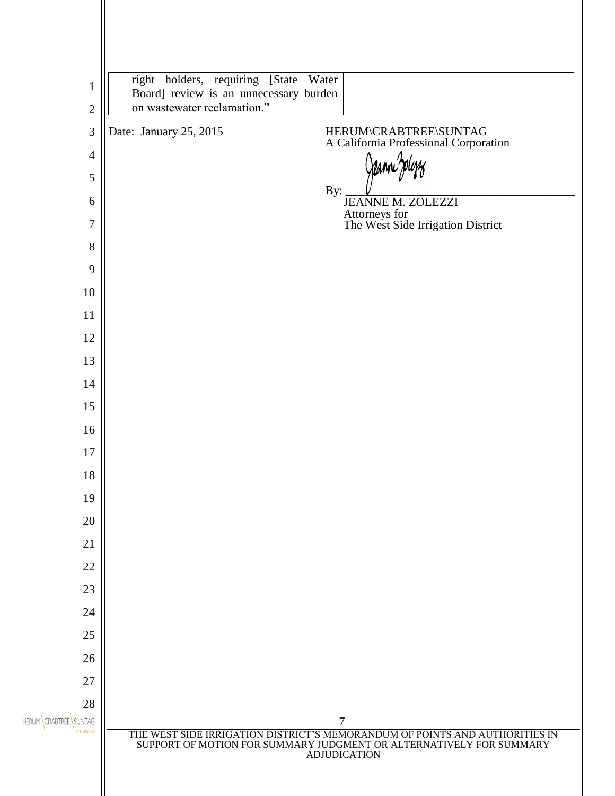|                                           | right holders, requiring [State Water                                                                                                                                     |
|-------------------------------------------|---------------------------------------------------------------------------------------------------------------------------------------------------------------------------|
| 1                                         | Board] review is an unnecessary burden                                                                                                                                    |
| $\mathbf{2}$                              | on wastewater reclamation."                                                                                                                                               |
| 3                                         | Date: January 25, 2015<br>HERUM\CRABTREE\SUNTAG<br>A California Professional Corporation                                                                                  |
| $\overline{4}$                            |                                                                                                                                                                           |
| $\mathfrak{S}$                            | By:                                                                                                                                                                       |
| 6                                         | JEANNE M. ZOLEZZI<br>Attorneys for<br>The West Side Irrigation District                                                                                                   |
| 7<br>8                                    |                                                                                                                                                                           |
| 9                                         |                                                                                                                                                                           |
| 10                                        |                                                                                                                                                                           |
| 11                                        |                                                                                                                                                                           |
| 12                                        |                                                                                                                                                                           |
| 13                                        |                                                                                                                                                                           |
| 14                                        |                                                                                                                                                                           |
| 15                                        |                                                                                                                                                                           |
| 16                                        |                                                                                                                                                                           |
| $17\,$                                    |                                                                                                                                                                           |
| 18                                        |                                                                                                                                                                           |
| 19                                        |                                                                                                                                                                           |
| 20                                        |                                                                                                                                                                           |
| 21                                        |                                                                                                                                                                           |
| 22                                        |                                                                                                                                                                           |
| 23                                        |                                                                                                                                                                           |
| 24                                        |                                                                                                                                                                           |
| 25                                        |                                                                                                                                                                           |
| 26<br>27                                  |                                                                                                                                                                           |
| 28                                        |                                                                                                                                                                           |
| HERUM CRABTREE SUNTAG<br><b>ATTORNEYS</b> | 7                                                                                                                                                                         |
|                                           | THE WEST SIDE IRRIGATION DISTRICT'S MEMORANDUM OF POINTS AND AUTHORITIES IN<br>SUPPORT OF MOTION FOR SUMMARY JUDGMENT OR ALTERNATIVELY FOR SUMMARY<br><b>ADJUDICATION</b> |
|                                           |                                                                                                                                                                           |
|                                           |                                                                                                                                                                           |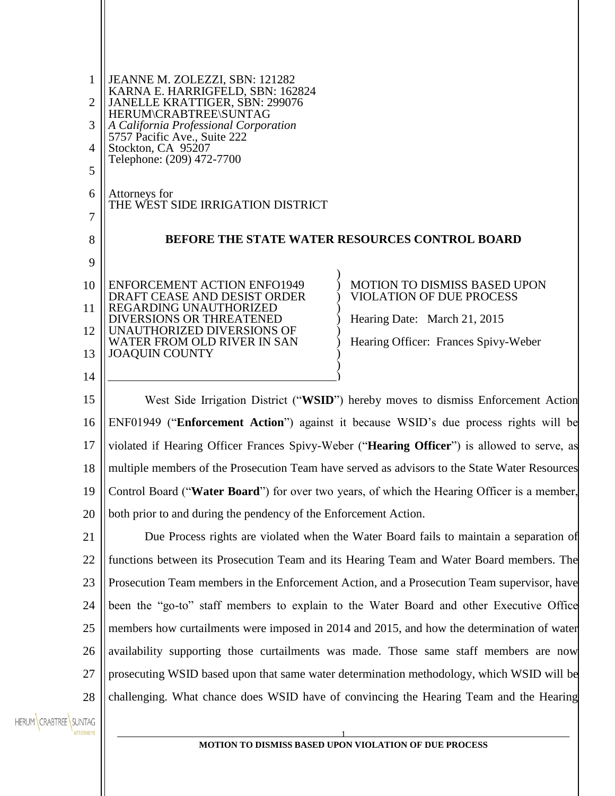| 1              | JEANNE M. ZOLEZZI, SBN: 121282                                                  |                                                                                               |
|----------------|---------------------------------------------------------------------------------|-----------------------------------------------------------------------------------------------|
| $\overline{2}$ | KARNA E. HARRIGFELD, SBN: 162824<br>JANELLE KRATTIGER, SBN: 299076              |                                                                                               |
| 3              | HERUM\CRABTREE\SUNTAG<br>A California Professional Corporation                  |                                                                                               |
| 4              | 5757 Pacific Ave., Suite 222<br>Stockton, CA 95207<br>Telephone: (209) 472-7700 |                                                                                               |
| 5              |                                                                                 |                                                                                               |
| 6              | Attorneys for<br>THE WEST SIDE IRRIGATION DISTRICT                              |                                                                                               |
| 7              |                                                                                 |                                                                                               |
| 8              |                                                                                 | <b>BEFORE THE STATE WATER RESOURCES CONTROL BOARD</b>                                         |
| 9              |                                                                                 |                                                                                               |
| 10             | <b>ENFORCEMENT ACTION ENFO1949</b><br>DRAFT CEASE AND DESIST ORDER              | <b>MOTION TO DISMISS BASED UPON</b><br><b>VIOLATION OF DUE PROCESS</b>                        |
| 11             | REGARDING UNAUTHORIZED<br><b>DIVERSIONS OR THREATENED</b>                       | Hearing Date: March 21, 2015                                                                  |
| 12             | UNAUTHORIZED DIVERSIONS OF<br>WATER FROM OLD RIVER IN SAN                       | Hearing Officer: Frances Spivy-Weber                                                          |
| 13             | <b>JOAQUIN COUNTY</b>                                                           |                                                                                               |
| 14             |                                                                                 |                                                                                               |
| 15             |                                                                                 | West Side Irrigation District ("WSID") hereby moves to dismiss Enforcement Action             |
| 16             |                                                                                 | ENF01949 ("Enforcement Action") against it because WSID's due process rights will be          |
| 17             |                                                                                 | violated if Hearing Officer Frances Spivy-Weber ("Hearing Officer") is allowed to serve, as   |
| 18             |                                                                                 | multiple members of the Prosecution Team have served as advisors to the State Water Resources |
| 19             |                                                                                 | Control Board ("Water Board") for over two years, of which the Hearing Officer is a member,   |

21 22 23 24 25 26 27 28 Due Process rights are violated when the Water Board fails to maintain a separation of functions between its Prosecution Team and its Hearing Team and Water Board members. The Prosecution Team members in the Enforcement Action, and a Prosecution Team supervisor, have been the "go-to" staff members to explain to the Water Board and other Executive Office members how curtailments were imposed in 2014 and 2015, and how the determination of water availability supporting those curtailments was made. Those same staff members are now prosecuting WSID based upon that same water determination methodology, which WSID will be challenging. What chance does WSID have of convincing the Hearing Team and the Hearing

both prior to and during the pendency of the Enforcement Action.

HERUM CRABTREE SUNTAG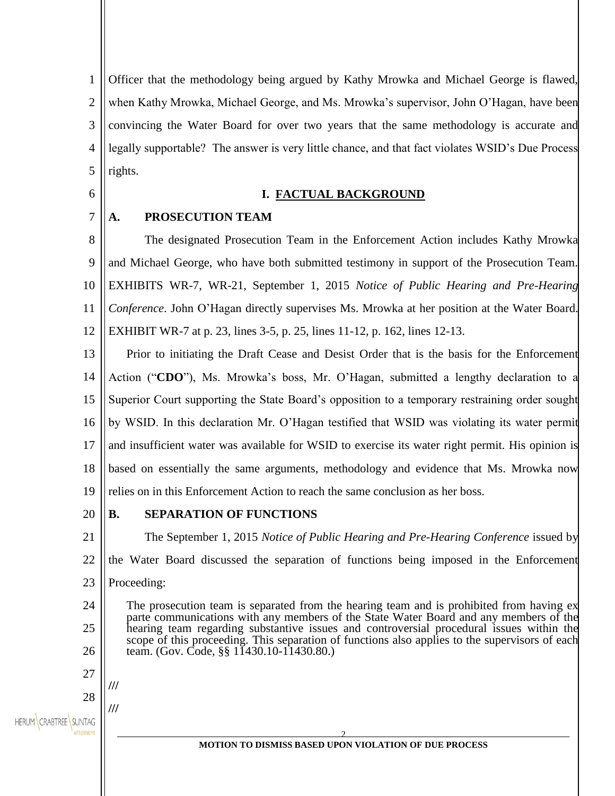1  $\mathcal{L}$ 3 4 5 Officer that the methodology being argued by Kathy Mrowka and Michael George is flawed, when Kathy Mrowka, Michael George, and Ms. Mrowka's supervisor, John O'Hagan, have been convincing the Water Board for over two years that the same methodology is accurate and legally supportable? The answer is very little chance, and that fact violates WSID's Due Process rights.

6

#### **I. FACTUAL BACKGROUND**

7 **A. PROSECUTION TEAM** 

8 9 10 11 12 The designated Prosecution Team in the Enforcement Action includes Kathy Mrowka and Michael George, who have both submitted testimony in support of the Prosecution Team. EXHIBITS WR-7, WR-21, September 1, 2015 *Notice of Public Hearing and Pre-Hearing Conference*. John O'Hagan directly supervises Ms. Mrowka at her position at the Water Board. EXHIBIT WR-7 at p. 23, lines 3-5, p. 25, lines 11-12, p. 162, lines 12-13.

13 14 15 16 17 18 19 Prior to initiating the Draft Cease and Desist Order that is the basis for the Enforcement Action ("**CDO**"), Ms. Mrowka's boss, Mr. O'Hagan, submitted a lengthy declaration to a Superior Court supporting the State Board's opposition to a temporary restraining order sought by WSID. In this declaration Mr. O'Hagan testified that WSID was violating its water permit and insufficient water was available for WSID to exercise its water right permit. His opinion is based on essentially the same arguments, methodology and evidence that Ms. Mrowka now relies on in this Enforcement Action to reach the same conclusion as her boss.

20

**///**

**///**

## **B. SEPARATION OF FUNCTIONS**

21 22 23 24 25 26 27 The September 1, 2015 *Notice of Public Hearing and Pre-Hearing Conference* issued by the Water Board discussed the separation of functions being imposed in the Enforcement Proceeding: The prosecution team is separated from the hearing team and is prohibited from having ex parte communications with any members of the State Water Board and any members of the hearing team regarding substantive issues and controversial procedural issues within the scope of this proceeding. This separation of functions also applies to the supervisors of each team. (Gov. Code, §§ 11430.10-11430.80.)

28 HERUM CRABTREE SUNTAG

> 2 **MOTION TO DISMISS BASED UPON VIOLATION OF DUE PROCESS**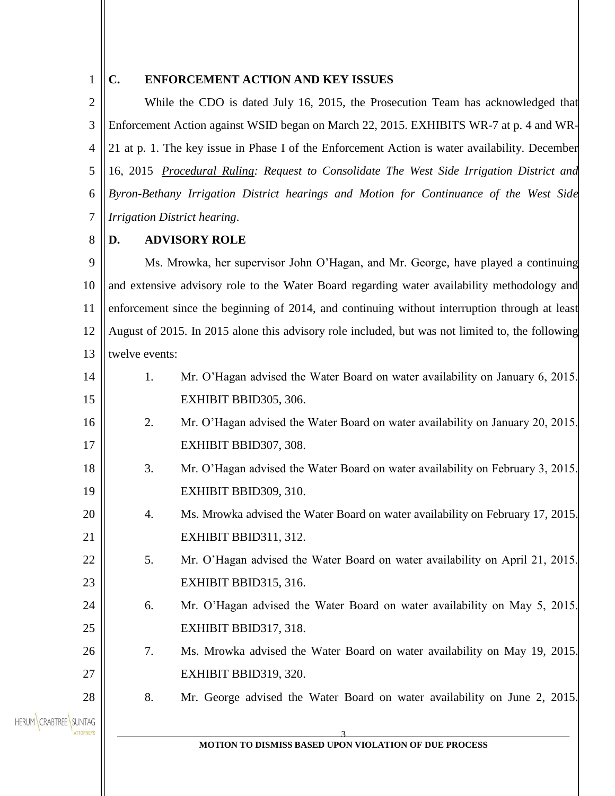# 1

## **C. ENFORCEMENT ACTION AND KEY ISSUES**

 $\mathcal{L}$ 3 4 5 6 7 While the CDO is dated July 16, 2015, the Prosecution Team has acknowledged that Enforcement Action against WSID began on March 22, 2015. EXHIBITS WR-7 at p. 4 and WR-21 at p. 1. The key issue in Phase I of the Enforcement Action is water availability. December 16, 2015 *[Procedural Ruling:](http://www.waterboards.ca.gov/waterrights/water_issues/programs/hearings/westside_irrigation_district/docs/wsid-bbid_consolidated_rulingletterfinal121615.pdf) Request to Consolidate The West Side Irrigation District and Byron-Bethany Irrigation District hearings and Motion for Continuance of the West Side Irrigation District hearing*.

#### 8 **D. ADVISORY ROLE**

9 10 11 12 13 Ms. Mrowka, her supervisor John O'Hagan, and Mr. George, have played a continuing and extensive advisory role to the Water Board regarding water availability methodology and enforcement since the beginning of 2014, and continuing without interruption through at least August of 2015. In 2015 alone this advisory role included, but was not limited to, the following twelve events:

- 14 15 1. Mr. O'Hagan advised the Water Board on water availability on January 6, 2015. EXHIBIT BBID305, 306.
- 16 17 2. Mr. O'Hagan advised the Water Board on water availability on January 20, 2015. EXHIBIT BBID307, 308.
- 18 19 3. Mr. O'Hagan advised the Water Board on water availability on February 3, 2015. EXHIBIT BBID309, 310.
	- 4. Ms. Mrowka advised the Water Board on water availability on February 17, 2015. EXHIBIT BBID311, 312.
		- 5. Mr. O'Hagan advised the Water Board on water availability on April 21, 2015. EXHIBIT BBID315, 316.
		- 6. Mr. O'Hagan advised the Water Board on water availability on May 5, 2015. EXHIBIT BBID317, 318.
			- 7. Ms. Mrowka advised the Water Board on water availability on May 19, 2015. EXHIBIT BBID319, 320.

8. Mr. George advised the Water Board on water availability on June 2, 2015.



20

21

22

23

24

25

26

27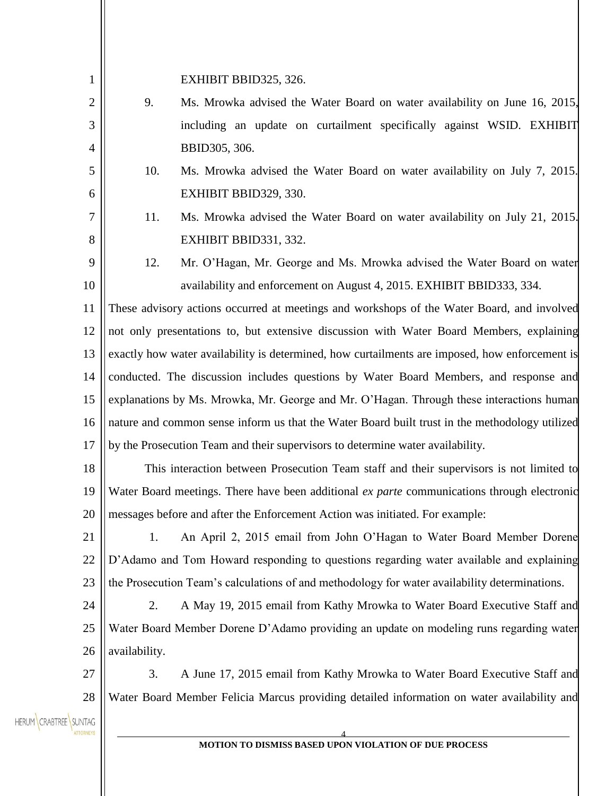| $\mathbf{1}$           |                                                                                                | EXHIBIT BBID325, 326.                                                                         |
|------------------------|------------------------------------------------------------------------------------------------|-----------------------------------------------------------------------------------------------|
| $\overline{2}$         | 9.                                                                                             | Ms. Mrowka advised the Water Board on water availability on June 16, 2015,                    |
| 3                      |                                                                                                | including an update on curtailment specifically against WSID. EXHIBIT                         |
| 4                      |                                                                                                | BBID305, 306.                                                                                 |
| 5                      | 10.                                                                                            | Ms. Mrowka advised the Water Board on water availability on July 7, 2015.                     |
| 6                      |                                                                                                | EXHIBIT BBID329, 330.                                                                         |
| 7                      | 11.                                                                                            | Ms. Mrowka advised the Water Board on water availability on July 21, 2015.                    |
| 8                      |                                                                                                | EXHIBIT BBID331, 332.                                                                         |
| 9                      | 12.                                                                                            | Mr. O'Hagan, Mr. George and Ms. Mrowka advised the Water Board on water                       |
| 10                     |                                                                                                | availability and enforcement on August 4, 2015. EXHIBIT BBID333, 334.                         |
| 11                     | These advisory actions occurred at meetings and workshops of the Water Board, and involved     |                                                                                               |
| 12                     |                                                                                                | not only presentations to, but extensive discussion with Water Board Members, explaining      |
| 13                     | exactly how water availability is determined, how curtailments are imposed, how enforcement is |                                                                                               |
| 14                     | conducted. The discussion includes questions by Water Board Members, and response and          |                                                                                               |
| 15                     |                                                                                                | explanations by Ms. Mrowka, Mr. George and Mr. O'Hagan. Through these interactions human      |
| 16                     | nature and common sense inform us that the Water Board built trust in the methodology utilized |                                                                                               |
| 17                     | by the Prosecution Team and their supervisors to determine water availability.                 |                                                                                               |
| 18                     | This interaction between Prosecution Team staff and their supervisors is not limited to        |                                                                                               |
| 19                     |                                                                                                | Water Board meetings. There have been additional ex parte communications through electronic   |
| 20                     |                                                                                                | messages before and after the Enforcement Action was initiated. For example:                  |
| 21                     | 1.                                                                                             | An April 2, 2015 email from John O'Hagan to Water Board Member Dorene                         |
| 22                     |                                                                                                | D'Adamo and Tom Howard responding to questions regarding water available and explaining       |
| 23                     |                                                                                                | the Prosecution Team's calculations of and methodology for water availability determinations. |
| 24                     | 2.                                                                                             | A May 19, 2015 email from Kathy Mrowka to Water Board Executive Staff and                     |
| 25                     | Water Board Member Dorene D'Adamo providing an update on modeling runs regarding water         |                                                                                               |
| 26                     | availability.                                                                                  |                                                                                               |
| 27                     | 3.                                                                                             | A June 17, 2015 email from Kathy Mrowka to Water Board Executive Staff and                    |
| 28                     |                                                                                                | Water Board Member Felicia Marcus providing detailed information on water availability and    |
| <b>CRABTREE SUNTAG</b> |                                                                                                |                                                                                               |
|                        |                                                                                                | MOTION TO DISMISS BASED UPON VIOLATION OF DUE PROCESS                                         |
|                        |                                                                                                |                                                                                               |

 $\parallel$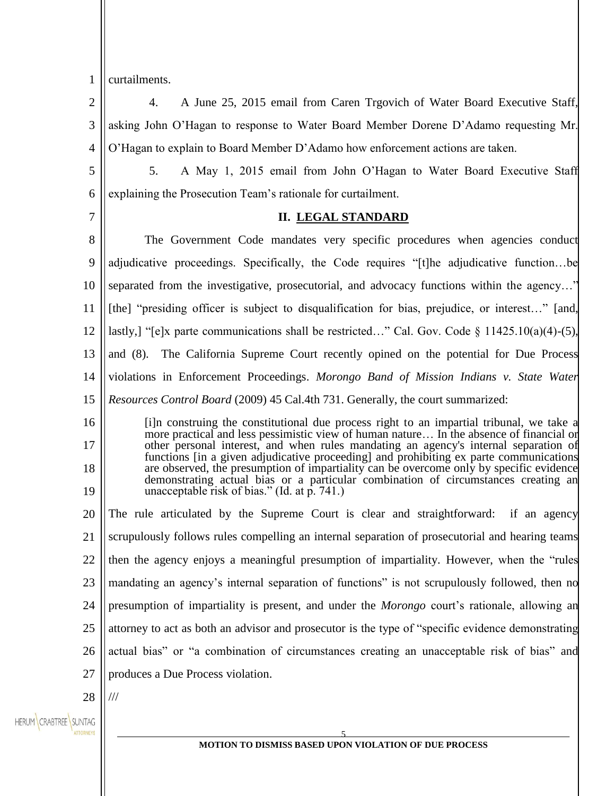1 curtailments.

7

 $\mathcal{D}_{\mathcal{L}}$ 3 4 4. A June 25, 2015 email from Caren Trgovich of Water Board Executive Staff, asking John O'Hagan to response to Water Board Member Dorene D'Adamo requesting Mr. O'Hagan to explain to Board Member D'Adamo how enforcement actions are taken.

5 6 5. A May 1, 2015 email from John O'Hagan to Water Board Executive Staff explaining the Prosecution Team's rationale for curtailment.

#### **II. LEGAL STANDARD**

8 9 10 11 12 13 14 The Government Code mandates very specific procedures when agencies conduct adjudicative proceedings. Specifically, the Code requires "[t]he adjudicative function…be separated from the investigative, prosecutorial, and advocacy functions within the agency…" [the] "presiding officer is subject to disqualification for bias, prejudice, or interest…" [and, lastly,] "[e]x parte communications shall be restricted…" Cal. Gov. Code § 11425.10(a)(4)-(5), and (8). The California Supreme Court recently opined on the potential for Due Process violations in Enforcement Proceedings. *Morongo Band of Mission Indians v. State Water* 

15 *Resources Control Board* (2009) 45 Cal.4th 731. Generally, the court summarized:

16 17 18 19 [i]n construing the constitutional due process right to an impartial tribunal, we take a more practical and less pessimistic view of human nature… In the absence of financial or other personal interest, and when rules mandating an agency's internal separation of functions [in a given adjudicative proceeding] and prohibiting ex parte communications are observed, the presumption of impartiality can be overcome only by specific evidence demonstrating actual bias or a particular combination of circumstances creating an unacceptable risk of bias." (Id. at p. 741.)

20 21 22 23 24 25 26 27 The rule articulated by the Supreme Court is clear and straightforward: if an agency scrupulously follows rules compelling an internal separation of prosecutorial and hearing teams then the agency enjoys a meaningful presumption of impartiality. However, when the "rules mandating an agency's internal separation of functions" is not scrupulously followed, then no presumption of impartiality is present, and under the *Morongo* court's rationale, allowing an attorney to act as both an advisor and prosecutor is the type of "specific evidence demonstrating actual bias" or "a combination of circumstances creating an unacceptable risk of bias" and produces a Due Process violation.

28 ///

HERUM CRABTREE SUNTAG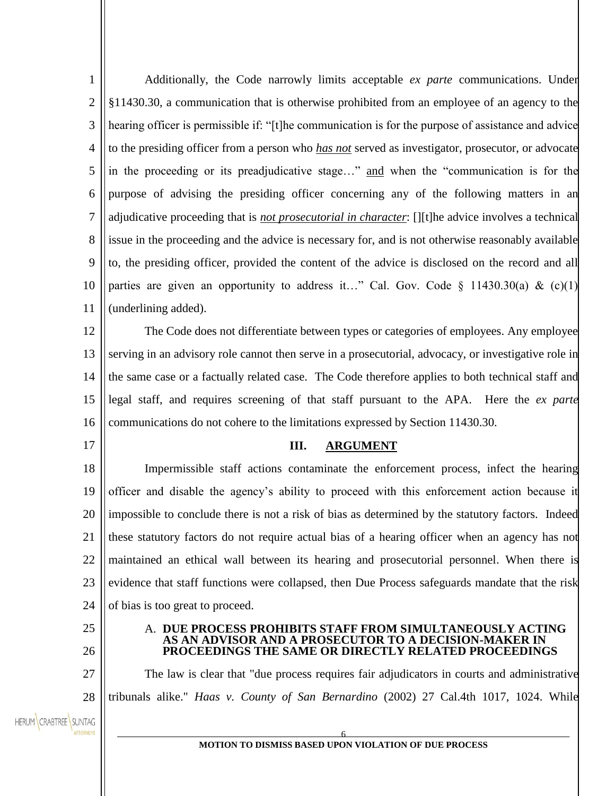1  $\mathcal{L}$ 3 4 5 6 7 8 9 10 11 Additionally, the Code narrowly limits acceptable *ex parte* communications. Under §11430.30, a communication that is otherwise prohibited from an employee of an agency to the hearing officer is permissible if: "[t]he communication is for the purpose of assistance and advice to the presiding officer from a person who *has not* served as investigator, prosecutor, or advocate in the proceeding or its preadjudicative stage…" and when the "communication is for the purpose of advising the presiding officer concerning any of the following matters in an adjudicative proceeding that is *not prosecutorial in character*: [][t]he advice involves a technical issue in the proceeding and the advice is necessary for, and is not otherwise reasonably available to, the presiding officer, provided the content of the advice is disclosed on the record and all parties are given an opportunity to address it…" Cal. Gov. Code § 11430.30(a) & (c)(1) (underlining added).

12 13 14 15 16 The Code does not differentiate between types or categories of employees. Any employee serving in an advisory role cannot then serve in a prosecutorial, advocacy, or investigative role in the same case or a factually related case. The Code therefore applies to both technical staff and legal staff, and requires screening of that staff pursuant to the APA. Here the *ex parte* communications do not cohere to the limitations expressed by Section 11430.30.

#### **III. ARGUMENT**

18 19 20 21 22 23 24 Impermissible staff actions contaminate the enforcement process, infect the hearing officer and disable the agency's ability to proceed with this enforcement action because it impossible to conclude there is not a risk of bias as determined by the statutory factors. Indeed these statutory factors do not require actual bias of a hearing officer when an agency has not maintained an ethical wall between its hearing and prosecutorial personnel. When there is evidence that staff functions were collapsed, then Due Process safeguards mandate that the risk of bias is too great to proceed.

25 26

27

28

17

#### A. **DUE PROCESS PROHIBITS STAFF FROM SIMULTANEOUSLY ACTING**  AS AN ADVISOR AND A PROSECUTOR TO A DECISION-MA **PROCEEDINGS THE SAME OR DIRECTLY RELATED PROCEEDINGS**

The law is clear that "due process requires fair adjudicators in courts and administrative tribunals alike." *Haas v. County of San Bernardino* [\(2002\) 27 Cal.4th 1017, 1024.](https://advance.lexis.com/document/?pdmfid=1000516&crid=9ec69a6a-b5c9-4787-8d07-56af4ace8f22&pddocfullpath=%2Fshared%2Fdocument%2Fbriefs-pleadings-motions%2Furn%3AcontentItem%3A4SH0-SX50-02G9-X3N9-00000-00&ecomp=d8-g&prid=025d0dd7-fac2-4617-a5c8-780c228d3168) While

HERUM CRABTREE SUNTAG

6 **MOTION TO DISMISS BASED UPON VIOLATION OF DUE PROCESS**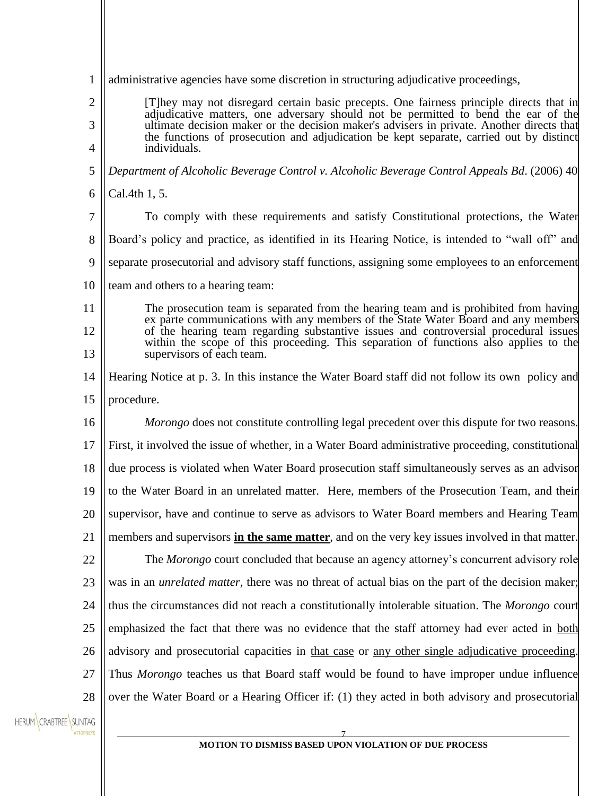| $\mathbf{1}$          | administrative agencies have some discretion in structuring adjudicative proceedings,                                                                                                                                                                                                                                                                                                  |  |
|-----------------------|----------------------------------------------------------------------------------------------------------------------------------------------------------------------------------------------------------------------------------------------------------------------------------------------------------------------------------------------------------------------------------------|--|
| $\overline{c}$<br>3   | [T] hey may not disregard certain basic precepts. One fairness principle directs that in<br>adjudicative matters, one adversary should not be permitted to bend the ear of the<br>ultimate decision maker or the decision maker's advisers in private. Another directs that<br>the functions of prosecution and adjudication be kept separate, carried out by distinct<br>individuals. |  |
| 4                     |                                                                                                                                                                                                                                                                                                                                                                                        |  |
| 5                     | Department of Alcoholic Beverage Control v. Alcoholic Beverage Control Appeals Bd. (2006) 40                                                                                                                                                                                                                                                                                           |  |
| 6                     | Cal.4th 1, 5.                                                                                                                                                                                                                                                                                                                                                                          |  |
| 7                     | To comply with these requirements and satisfy Constitutional protections, the Water                                                                                                                                                                                                                                                                                                    |  |
| 8                     | Board's policy and practice, as identified in its Hearing Notice, is intended to "wall off" and                                                                                                                                                                                                                                                                                        |  |
| 9                     | separate prosecutorial and advisory staff functions, assigning some employees to an enforcement                                                                                                                                                                                                                                                                                        |  |
| 10                    | team and others to a hearing team:                                                                                                                                                                                                                                                                                                                                                     |  |
| 11                    | The prosecution team is separated from the hearing team and is prohibited from having<br>ex parte communications with any members of the State Water Board and any members                                                                                                                                                                                                             |  |
| 12                    | of the hearing team regarding substantive issues and controversial procedural issues<br>within the scope of this proceeding. This separation of functions also applies to the                                                                                                                                                                                                          |  |
| 13                    | supervisors of each team.                                                                                                                                                                                                                                                                                                                                                              |  |
| 14                    | Hearing Notice at p. 3. In this instance the Water Board staff did not follow its own policy and                                                                                                                                                                                                                                                                                       |  |
| 15                    | procedure.                                                                                                                                                                                                                                                                                                                                                                             |  |
| 16                    | <i>Morongo</i> does not constitute controlling legal precedent over this dispute for two reasons.                                                                                                                                                                                                                                                                                      |  |
| 17                    | First, it involved the issue of whether, in a Water Board administrative proceeding, constitutional                                                                                                                                                                                                                                                                                    |  |
| 18                    | due process is violated when Water Board prosecution staff simultaneously serves as an advisor                                                                                                                                                                                                                                                                                         |  |
| 19                    | to the Water Board in an unrelated matter. Here, members of the Prosecution Team, and their                                                                                                                                                                                                                                                                                            |  |
| 20                    | supervisor, have and continue to serve as advisors to Water Board members and Hearing Team                                                                                                                                                                                                                                                                                             |  |
| 21                    | members and supervisors in the same matter, and on the very key issues involved in that matter.                                                                                                                                                                                                                                                                                        |  |
| 22                    | The Morongo court concluded that because an agency attorney's concurrent advisory role                                                                                                                                                                                                                                                                                                 |  |
| 23                    | was in an <i>unrelated matter</i> , there was no threat of actual bias on the part of the decision maker;                                                                                                                                                                                                                                                                              |  |
| 24                    | thus the circumstances did not reach a constitutionally intolerable situation. The Morongo court                                                                                                                                                                                                                                                                                       |  |
| 25                    | emphasized the fact that there was no evidence that the staff attorney had ever acted in both                                                                                                                                                                                                                                                                                          |  |
| 26                    | advisory and prosecutorial capacities in that case or any other single adjudicative proceeding.                                                                                                                                                                                                                                                                                        |  |
| 27                    | Thus Morongo teaches us that Board staff would be found to have improper undue influence                                                                                                                                                                                                                                                                                               |  |
| 28                    | over the Water Board or a Hearing Officer if: (1) they acted in both advisory and prosecutorial                                                                                                                                                                                                                                                                                        |  |
| HERUM CRABTREE SUNTAG |                                                                                                                                                                                                                                                                                                                                                                                        |  |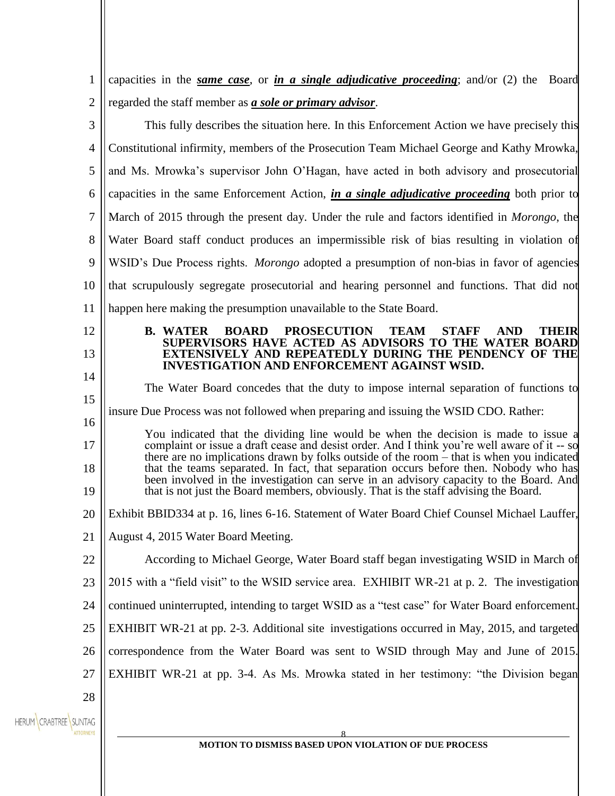| 1                     | capacities in the <i>same case</i> , or <i>in a single adjudicative proceeding</i> ; and/or $(2)$ the Board                                                                               |  |  |
|-----------------------|-------------------------------------------------------------------------------------------------------------------------------------------------------------------------------------------|--|--|
| $\overline{2}$        | regarded the staff member as <b>a sole or primary advisor</b> .                                                                                                                           |  |  |
| 3                     | This fully describes the situation here. In this Enforcement Action we have precisely this                                                                                                |  |  |
| 4                     | Constitutional infirmity, members of the Prosecution Team Michael George and Kathy Mrowka,                                                                                                |  |  |
| 5                     | and Ms. Mrowka's supervisor John O'Hagan, have acted in both advisory and prosecutorial                                                                                                   |  |  |
| 6                     | capacities in the same Enforcement Action, <i>in a single adjudicative proceeding</i> both prior to                                                                                       |  |  |
| 7                     | March of 2015 through the present day. Under the rule and factors identified in <i>Morongo</i> , the                                                                                      |  |  |
| 8                     | Water Board staff conduct produces an impermissible risk of bias resulting in violation of                                                                                                |  |  |
| 9                     | WSID's Due Process rights. <i>Morongo</i> adopted a presumption of non-bias in favor of agencies                                                                                          |  |  |
| 10                    | that scrupulously segregate prosecutorial and hearing personnel and functions. That did not                                                                                               |  |  |
| 11                    | happen here making the presumption unavailable to the State Board.                                                                                                                        |  |  |
| 12                    | <b>B. WATER</b><br><b>BOARD</b><br><b>PROSECUTION</b><br><b>TEAM</b><br><b>THEIR</b><br><b>STAFF</b><br><b>AND</b><br>SUPERVISORS HAVE ACTED AS ADVISORS TO THE WATER BOARD               |  |  |
| 13                    | <b>EXTENSIVELY AND REPEATEDLY DURING THE PENDENCY OF THE</b><br><b>INVESTIGATION AND ENFORCEMENT AGAINST WSID.</b>                                                                        |  |  |
| 14                    | The Water Board concedes that the duty to impose internal separation of functions to                                                                                                      |  |  |
| 15                    | insure Due Process was not followed when preparing and issuing the WSID CDO. Rather:                                                                                                      |  |  |
| 16                    | You indicated that the dividing line would be when the decision is made to issue a                                                                                                        |  |  |
| 17                    | complaint or issue a draft cease and desist order. And I think you're well aware of it -- so<br>there are no implications drawn by folks outside of the room – that is when you indicated |  |  |
| 18                    | that the teams separated. In fact, that separation occurs before then. Nobody who has<br>been involved in the investigation can serve in an advisory capacity to the Board. And           |  |  |
| 19                    | that is not just the Board members, obviously. That is the staff advising the Board.                                                                                                      |  |  |
| 20                    | Exhibit BBID334 at p. 16, lines 6-16. Statement of Water Board Chief Counsel Michael Lauffer,                                                                                             |  |  |
| 21                    | August 4, 2015 Water Board Meeting.                                                                                                                                                       |  |  |
| 22                    | According to Michael George, Water Board staff began investigating WSID in March of                                                                                                       |  |  |
| 23                    | 2015 with a "field visit" to the WSID service area. EXHIBIT WR-21 at p. 2. The investigation                                                                                              |  |  |
| 24                    | continued uninterrupted, intending to target WSID as a "test case" for Water Board enforcement.                                                                                           |  |  |
| 25                    | EXHIBIT WR-21 at pp. 2-3. Additional site investigations occurred in May, 2015, and targeted                                                                                              |  |  |
| 26                    | correspondence from the Water Board was sent to WSID through May and June of 2015.                                                                                                        |  |  |
| 27                    | EXHIBIT WR-21 at pp. 3-4. As Ms. Mrowka stated in her testimony: "the Division began                                                                                                      |  |  |
| 28                    |                                                                                                                                                                                           |  |  |
| HERUM CRABTREE SUNTAG |                                                                                                                                                                                           |  |  |
|                       | MOTION TO DISMISS BASED UPON VIOLATION OF DUE PROCESS                                                                                                                                     |  |  |
|                       |                                                                                                                                                                                           |  |  |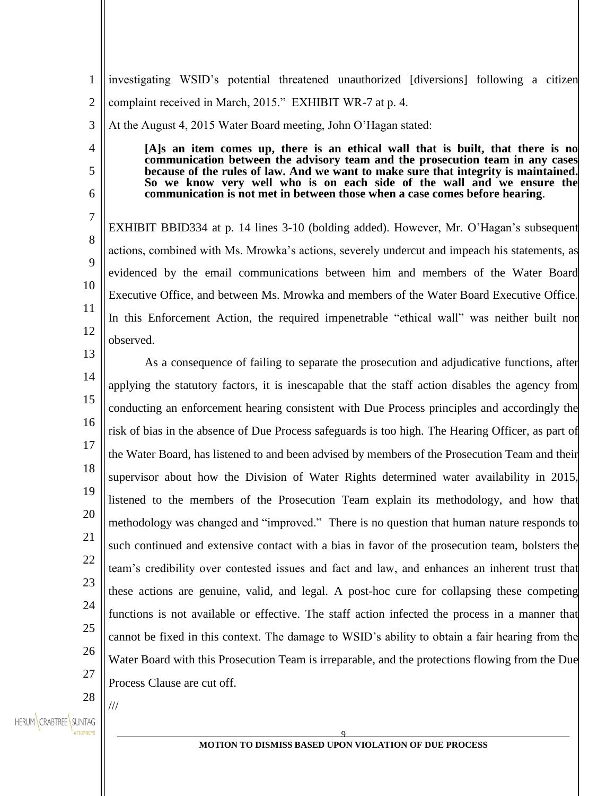1  $\mathcal{L}$ investigating WSID's potential threatened unauthorized [diversions] following a citizen complaint received in March, 2015." EXHIBIT WR-7 at p. 4.

3 At the August 4, 2015 Water Board meeting, John O'Hagan stated:

> **[A]s an item comes up, there is an ethical wall that is built, that there is no communication between the advisory team and the prosecution team in any cases because of the rules of law. And we want to make sure that integrity is maintained. So we know very well who is on each side of the wall and we ensure the communication is not met in between those when a case comes before hearing**.

10 12 EXHIBIT BBID334 at p. 14 lines 3-10 (bolding added). However, Mr. O'Hagan's subsequent actions, combined with Ms. Mrowka's actions, severely undercut and impeach his statements, as evidenced by the email communications between him and members of the Water Board Executive Office, and between Ms. Mrowka and members of the Water Board Executive Office. In this Enforcement Action, the required impenetrable "ethical wall" was neither built nor observed.

13

4

5

6

7

8

9

11

14 15 16 17 18 19 20 21 22 23 24 25 26 27 As a consequence of failing to separate the prosecution and adjudicative functions, after applying the statutory factors, it is inescapable that the staff action disables the agency from conducting an enforcement hearing consistent with Due Process principles and accordingly the risk of bias in the absence of Due Process safeguards is too high. The Hearing Officer, as part of the Water Board, has listened to and been advised by members of the Prosecution Team and their supervisor about how the Division of Water Rights determined water availability in 2015, listened to the members of the Prosecution Team explain its methodology, and how that methodology was changed and "improved." There is no question that human nature responds to such continued and extensive contact with a bias in favor of the prosecution team, bolsters the team's credibility over contested issues and fact and law, and enhances an inherent trust that these actions are genuine, valid, and legal. A post-hoc cure for collapsing these competing functions is not available or effective. The staff action infected the process in a manner that cannot be fixed in this context. The damage to WSID's ability to obtain a fair hearing from the Water Board with this Prosecution Team is irreparable, and the protections flowing from the Due Process Clause are cut off.

28

///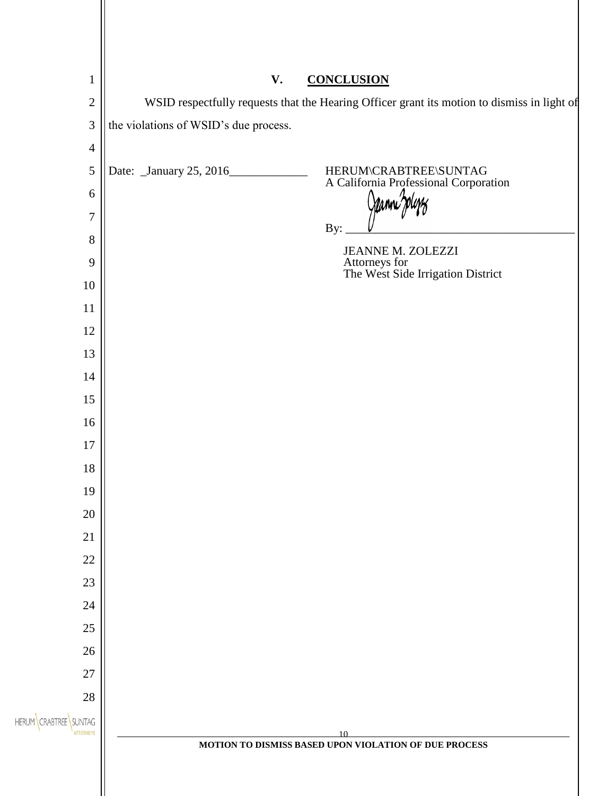| $\mathbf{1}$                               | V.                                                                                                               |
|--------------------------------------------|------------------------------------------------------------------------------------------------------------------|
| $\sqrt{2}$                                 | <b>CONCLUSION</b><br>WSID respectfully requests that the Hearing Officer grant its motion to dismiss in light of |
| $\mathfrak{Z}$                             | the violations of WSID's due process.                                                                            |
| $\overline{4}$                             |                                                                                                                  |
| $\sqrt{5}$                                 | Date: January 25, 2016                                                                                           |
| $6\,$                                      | HERUM\CRABTREE\SUNTAG<br>A California Professional Corporation                                                   |
| $\boldsymbol{7}$                           |                                                                                                                  |
| $8\,$                                      | By:                                                                                                              |
| 9                                          | <b>JEANNE M. ZOLEZZI</b>                                                                                         |
| 10                                         | Attorneys for<br>The West Side Irrigation District                                                               |
| 11                                         |                                                                                                                  |
| 12                                         |                                                                                                                  |
| 13                                         |                                                                                                                  |
| 14                                         |                                                                                                                  |
| 15                                         |                                                                                                                  |
| 16                                         |                                                                                                                  |
| $17\,$                                     |                                                                                                                  |
| $18\,$                                     |                                                                                                                  |
| 19                                         |                                                                                                                  |
| $20\,$                                     |                                                                                                                  |
| 21                                         |                                                                                                                  |
| $22\,$                                     |                                                                                                                  |
| $23\,$                                     |                                                                                                                  |
| $24\,$                                     |                                                                                                                  |
| $25\,$                                     |                                                                                                                  |
| $26\,$                                     |                                                                                                                  |
| $27\,$                                     |                                                                                                                  |
| $28\,$                                     |                                                                                                                  |
| SUNTAG<br><b>HERUM</b><br><b>ATTORNEYS</b> | 10                                                                                                               |
|                                            | MOTION TO DISMISS BASED UPON VIOLATION OF DUE PROCESS                                                            |
|                                            |                                                                                                                  |
|                                            |                                                                                                                  |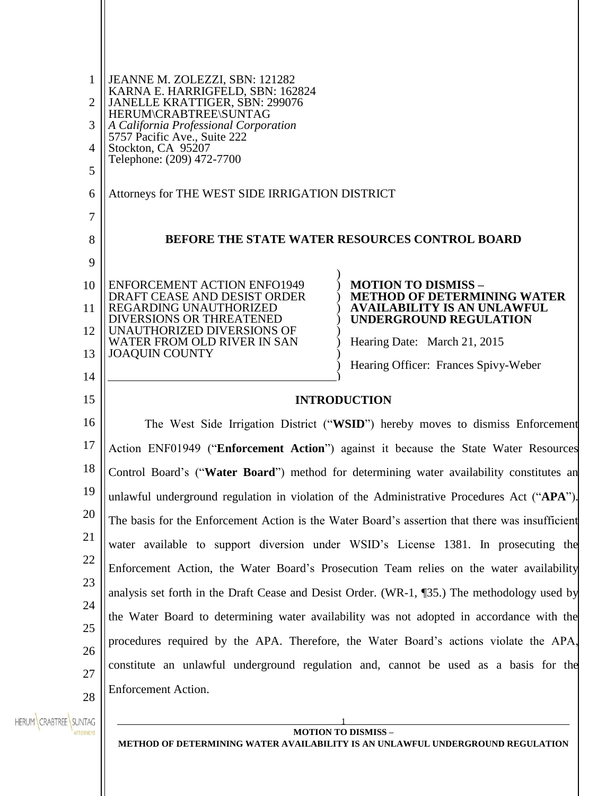| 1<br>$\overline{2}$<br>3<br>$\overline{4}$<br>5<br>6<br>$\tau$ | JEANNE M. ZOLEZZI, SBN: 121282<br>KARNA E. HARRIGFELD, SBN: 162824<br>JANELLE KRATTIGER, SBN: 299076<br>HERUM\CRABTREE\SUNTAG<br>A California Professional Corporation<br>5757 Pacific Ave., Suite 222<br>Stockton, CA 95207<br>Telephone: (209) 472-7700<br>Attorneys for THE WEST SIDE IRRIGATION DISTRICT |                                                                                                        |  |
|----------------------------------------------------------------|--------------------------------------------------------------------------------------------------------------------------------------------------------------------------------------------------------------------------------------------------------------------------------------------------------------|--------------------------------------------------------------------------------------------------------|--|
| 8                                                              | BEFORE THE STATE WATER RESOURCES CONTROL BOARD                                                                                                                                                                                                                                                               |                                                                                                        |  |
| 9                                                              |                                                                                                                                                                                                                                                                                                              |                                                                                                        |  |
| 10<br>11                                                       | <b>ENFORCEMENT ACTION ENFO1949</b><br>DRAFT CEASE AND DESIST ORDER<br>REGARDING UNAUTHORIZED                                                                                                                                                                                                                 | <b>MOTION TO DISMISS -</b><br><b>METHOD OF DETERMINING WATER</b><br><b>AVAILABILITY IS AN UNLAWFUL</b> |  |
| 12                                                             | <b>DIVERSIONS OR THREATENED</b><br>UNAUTHORIZED DIVERSIONS OF                                                                                                                                                                                                                                                | <b>UNDERGROUND REGULATION</b>                                                                          |  |
| 13                                                             | WATER FROM OLD RIVER IN SAN<br><b>JOAQUIN COUNTY</b>                                                                                                                                                                                                                                                         | Hearing Date: March 21, 2015<br>Hearing Officer: Frances Spivy-Weber                                   |  |
| 14                                                             |                                                                                                                                                                                                                                                                                                              |                                                                                                        |  |
| 15                                                             | <b>INTRODUCTION</b>                                                                                                                                                                                                                                                                                          |                                                                                                        |  |
| 16                                                             | The West Side Irrigation District ("WSID") hereby moves to dismiss Enforcement                                                                                                                                                                                                                               |                                                                                                        |  |
| 17                                                             |                                                                                                                                                                                                                                                                                                              | Action ENF01949 ("Enforcement Action") against it because the State Water Resources                    |  |
| 18                                                             |                                                                                                                                                                                                                                                                                                              | Control Board's ("Water Board") method for determining water availability constitutes an               |  |
| 19                                                             |                                                                                                                                                                                                                                                                                                              | unlawful underground regulation in violation of the Administrative Procedures Act ("APA").             |  |
| 20                                                             |                                                                                                                                                                                                                                                                                                              | The basis for the Enforcement Action is the Water Board's assertion that there was insufficient        |  |
| 21                                                             | water available to support diversion under WSID's License 1381. In prosecuting the                                                                                                                                                                                                                           |                                                                                                        |  |
| 22                                                             |                                                                                                                                                                                                                                                                                                              | Enforcement Action, the Water Board's Prosecution Team relies on the water availability                |  |
| 23                                                             |                                                                                                                                                                                                                                                                                                              | analysis set forth in the Draft Cease and Desist Order. (WR-1, ¶35.) The methodology used by           |  |
| 24                                                             |                                                                                                                                                                                                                                                                                                              | the Water Board to determining water availability was not adopted in accordance with the               |  |
| 25                                                             |                                                                                                                                                                                                                                                                                                              | procedures required by the APA. Therefore, the Water Board's actions violate the APA,                  |  |
| 26<br>27                                                       |                                                                                                                                                                                                                                                                                                              | constitute an unlawful underground regulation and, cannot be used as a basis for the                   |  |
| 28                                                             | <b>Enforcement Action.</b>                                                                                                                                                                                                                                                                                   |                                                                                                        |  |
| HERUM CRABTREE SUNTAG<br><b>ATTORNEYS</b>                      |                                                                                                                                                                                                                                                                                                              | <b>MOTION TO DISMISS -</b>                                                                             |  |

**METHOD OF DETERMINING WATER AVAILABILITY IS AN UNLAWFUL UNDERGROUND REGULATION**